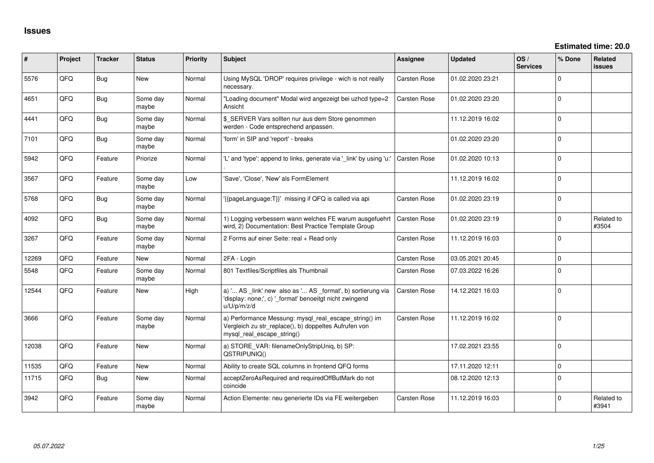| $\sharp$ | Project | <b>Tracker</b> | <b>Status</b>     | <b>Priority</b> | <b>Subject</b>                                                                                                                               | Assignee            | <b>Updated</b>   | OS/<br><b>Services</b> | % Done       | Related<br>issues   |
|----------|---------|----------------|-------------------|-----------------|----------------------------------------------------------------------------------------------------------------------------------------------|---------------------|------------------|------------------------|--------------|---------------------|
| 5576     | QFQ     | <b>Bug</b>     | New               | Normal          | Using MySQL 'DROP' requires privilege - wich is not really<br>necessary.                                                                     | Carsten Rose        | 01.02.2020 23:21 |                        | $\mathbf 0$  |                     |
| 4651     | QFQ     | Bug            | Some day<br>maybe | Normal          | "Loading document" Modal wird angezeigt bei uzhcd type=2<br>Ansicht                                                                          | Carsten Rose        | 01.02.2020 23:20 |                        | $\mathbf 0$  |                     |
| 4441     | QFQ     | Bug            | Some day<br>maybe | Normal          | \$ SERVER Vars sollten nur aus dem Store genommen<br>werden - Code entsprechend anpassen.                                                    |                     | 11.12.2019 16:02 |                        | $\mathbf{0}$ |                     |
| 7101     | QFQ     | <b>Bug</b>     | Some day<br>maybe | Normal          | 'form' in SIP and 'report' - breaks                                                                                                          |                     | 01.02.2020 23:20 |                        | $\mathbf 0$  |                     |
| 5942     | QFQ     | Feature        | Priorize          | Normal          | 'L' and 'type': append to links, generate via '_link' by using 'u:'                                                                          | <b>Carsten Rose</b> | 01.02.2020 10:13 |                        | $\Omega$     |                     |
| 3567     | QFQ     | Feature        | Some day<br>maybe | Low             | 'Save', 'Close', 'New' als FormElement                                                                                                       |                     | 11.12.2019 16:02 |                        | $\Omega$     |                     |
| 5768     | QFQ     | Bug            | Some day<br>maybe | Normal          | '{{pageLanguage:T}}' missing if QFQ is called via api                                                                                        | <b>Carsten Rose</b> | 01.02.2020 23:19 |                        | $\Omega$     |                     |
| 4092     | QFQ     | Bug            | Some day<br>maybe | Normal          | 1) Logging verbessern wann welches FE warum ausgefuehrt<br>wird, 2) Documentation: Best Practice Template Group                              | <b>Carsten Rose</b> | 01.02.2020 23:19 |                        | $\Omega$     | Related to<br>#3504 |
| 3267     | QFQ     | Feature        | Some day<br>maybe | Normal          | 2 Forms auf einer Seite: real + Read only                                                                                                    | Carsten Rose        | 11.12.2019 16:03 |                        | $\Omega$     |                     |
| 12269    | QFQ     | Feature        | New               | Normal          | 2FA - Login                                                                                                                                  | Carsten Rose        | 03.05.2021 20:45 |                        | $\mathbf{0}$ |                     |
| 5548     | QFQ     | Feature        | Some day<br>maybe | Normal          | 801 Textfiles/Scriptfiles als Thumbnail                                                                                                      | Carsten Rose        | 07.03.2022 16:26 |                        | $\mathbf 0$  |                     |
| 12544    | QFQ     | Feature        | <b>New</b>        | High            | a) ' AS _link' new also as ' AS _format', b) sortierung via<br>'display: none;', c) '_format' benoeitgt nicht zwingend<br>u/U/p/m/z/d        | Carsten Rose        | 14.12.2021 16:03 |                        | $\mathbf 0$  |                     |
| 3666     | QFQ     | Feature        | Some day<br>maybe | Normal          | a) Performance Messung: mysql_real_escape_string() im<br>Vergleich zu str_replace(), b) doppeltes Aufrufen von<br>mysql real escape string() | Carsten Rose        | 11.12.2019 16:02 |                        | $\Omega$     |                     |
| 12038    | QFQ     | Feature        | <b>New</b>        | Normal          | a) STORE_VAR: filenameOnlyStripUniq, b) SP:<br>QSTRIPUNIQ()                                                                                  |                     | 17.02.2021 23:55 |                        | $\Omega$     |                     |
| 11535    | QFQ     | Feature        | New               | Normal          | Ability to create SQL columns in frontend QFQ forms                                                                                          |                     | 17.11.2020 12:11 |                        | $\mathbf 0$  |                     |
| 11715    | QFQ     | Bug            | <b>New</b>        | Normal          | acceptZeroAsRequired and requiredOffButMark do not<br>coincide                                                                               |                     | 08.12.2020 12:13 |                        | $\mathbf 0$  |                     |
| 3942     | QFQ     | Feature        | Some day<br>maybe | Normal          | Action Elemente: neu generierte IDs via FE weitergeben                                                                                       | <b>Carsten Rose</b> | 11.12.2019 16:03 |                        | $\Omega$     | Related to<br>#3941 |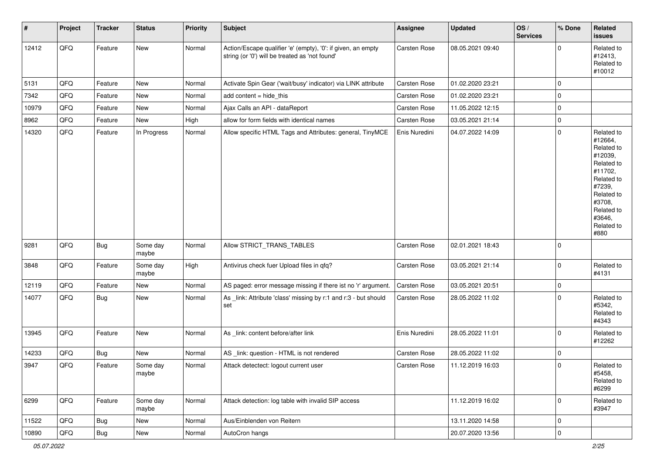| $\vert$ # | Project        | <b>Tracker</b> | <b>Status</b>     | Priority | <b>Subject</b>                                                                                                 | Assignee            | <b>Updated</b>   | OS/<br><b>Services</b> | % Done      | Related<br><b>issues</b>                                                                                                                                              |
|-----------|----------------|----------------|-------------------|----------|----------------------------------------------------------------------------------------------------------------|---------------------|------------------|------------------------|-------------|-----------------------------------------------------------------------------------------------------------------------------------------------------------------------|
| 12412     | QFQ            | Feature        | <b>New</b>        | Normal   | Action/Escape qualifier 'e' (empty), '0': if given, an empty<br>string (or '0') will be treated as 'not found' | Carsten Rose        | 08.05.2021 09:40 |                        | $\Omega$    | Related to<br>#12413,<br>Related to<br>#10012                                                                                                                         |
| 5131      | QFQ            | Feature        | <b>New</b>        | Normal   | Activate Spin Gear ('wait/busy' indicator) via LINK attribute                                                  | Carsten Rose        | 01.02.2020 23:21 |                        | $\mathbf 0$ |                                                                                                                                                                       |
| 7342      | QFQ            | Feature        | New               | Normal   | add content = hide_this                                                                                        | Carsten Rose        | 01.02.2020 23:21 |                        | $\mathbf 0$ |                                                                                                                                                                       |
| 10979     | QFQ            | Feature        | <b>New</b>        | Normal   | Ajax Calls an API - dataReport                                                                                 | Carsten Rose        | 11.05.2022 12:15 |                        | $\mathbf 0$ |                                                                                                                                                                       |
| 8962      | QFQ            | Feature        | New               | High     | allow for form fields with identical names                                                                     | <b>Carsten Rose</b> | 03.05.2021 21:14 |                        | 0           |                                                                                                                                                                       |
| 14320     | QFQ            | Feature        | In Progress       | Normal   | Allow specific HTML Tags and Attributes: general, TinyMCE                                                      | Enis Nuredini       | 04.07.2022 14:09 |                        | $\mathbf 0$ | Related to<br>#12664,<br>Related to<br>#12039,<br>Related to<br>#11702,<br>Related to<br>#7239,<br>Related to<br>#3708,<br>Related to<br>#3646,<br>Related to<br>#880 |
| 9281      | QFQ            | <b>Bug</b>     | Some day<br>maybe | Normal   | Allow STRICT TRANS TABLES                                                                                      | Carsten Rose        | 02.01.2021 18:43 |                        | $\Omega$    |                                                                                                                                                                       |
| 3848      | QFQ            | Feature        | Some day<br>maybe | High     | Antivirus check fuer Upload files in qfq?                                                                      | Carsten Rose        | 03.05.2021 21:14 |                        | $\mathbf 0$ | Related to<br>#4131                                                                                                                                                   |
| 12119     | QFQ            | Feature        | New               | Normal   | AS paged: error message missing if there ist no 'r' argument.                                                  | Carsten Rose        | 03.05.2021 20:51 |                        | $\mathbf 0$ |                                                                                                                                                                       |
| 14077     | QFQ            | Bug            | New               | Normal   | As _link: Attribute 'class' missing by r:1 and r:3 - but should<br>set                                         | <b>Carsten Rose</b> | 28.05.2022 11:02 |                        | $\Omega$    | Related to<br>#5342,<br>Related to<br>#4343                                                                                                                           |
| 13945     | QFQ            | Feature        | New               | Normal   | As _link: content before/after link                                                                            | Enis Nuredini       | 28.05.2022 11:01 |                        | $\mathbf 0$ | Related to<br>#12262                                                                                                                                                  |
| 14233     | QFQ            | <b>Bug</b>     | <b>New</b>        | Normal   | AS _link: question - HTML is not rendered                                                                      | Carsten Rose        | 28.05.2022 11:02 |                        | $\mathbf 0$ |                                                                                                                                                                       |
| 3947      | QFQ            | Feature        | Some day<br>maybe | Normal   | Attack detectect: logout current user                                                                          | <b>Carsten Rose</b> | 11.12.2019 16:03 |                        | $\mathbf 0$ | Related to<br>#5458,<br>Related to<br>#6299                                                                                                                           |
| 6299      | QFQ            | Feature        | Some day<br>maybe | Normal   | Attack detection: log table with invalid SIP access                                                            |                     | 11.12.2019 16:02 |                        | $\mathbf 0$ | Related to<br>#3947                                                                                                                                                   |
| 11522     | QFQ            | <b>Bug</b>     | New               | Normal   | Aus/Einblenden von Reitern                                                                                     |                     | 13.11.2020 14:58 |                        | $\mathbf 0$ |                                                                                                                                                                       |
| 10890     | $\mathsf{QFQ}$ | Bug            | New               | Normal   | AutoCron hangs                                                                                                 |                     | 20.07.2020 13:56 |                        | 0           |                                                                                                                                                                       |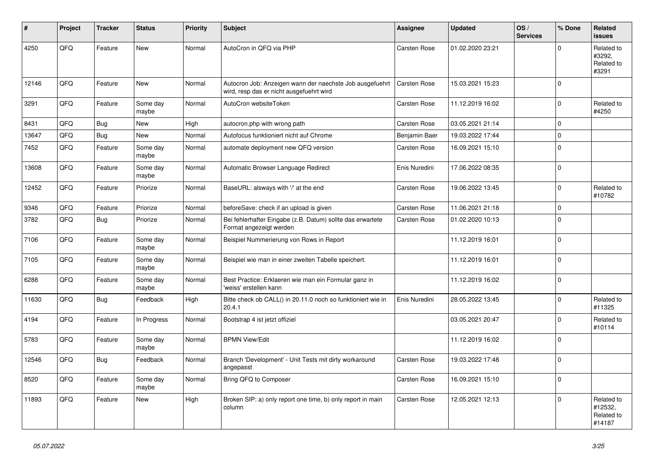| ∦     | Project | <b>Tracker</b> | <b>Status</b>     | <b>Priority</b> | Subject                                                                                              | <b>Assignee</b>     | <b>Updated</b>   | OS/<br><b>Services</b> | % Done       | Related<br><b>issues</b>                      |
|-------|---------|----------------|-------------------|-----------------|------------------------------------------------------------------------------------------------------|---------------------|------------------|------------------------|--------------|-----------------------------------------------|
| 4250  | QFQ     | Feature        | New               | Normal          | AutoCron in QFQ via PHP                                                                              | <b>Carsten Rose</b> | 01.02.2020 23:21 |                        | <sup>0</sup> | Related to<br>#3292,<br>Related to<br>#3291   |
| 12146 | QFQ     | Feature        | New               | Normal          | Autocron Job: Anzeigen wann der naechste Job ausgefuehrt<br>wird, resp das er nicht ausgefuehrt wird | <b>Carsten Rose</b> | 15.03.2021 15:23 |                        | <sup>0</sup> |                                               |
| 3291  | QFQ     | Feature        | Some day<br>maybe | Normal          | AutoCron websiteToken                                                                                | <b>Carsten Rose</b> | 11.12.2019 16:02 |                        | $\Omega$     | Related to<br>#4250                           |
| 8431  | QFQ     | Bug            | <b>New</b>        | High            | autocron.php with wrong path                                                                         | <b>Carsten Rose</b> | 03.05.2021 21:14 |                        | $\Omega$     |                                               |
| 13647 | QFQ     | <b>Bug</b>     | New               | Normal          | Autofocus funktioniert nicht auf Chrome                                                              | Benjamin Baer       | 19.03.2022 17:44 |                        | $\mathbf 0$  |                                               |
| 7452  | QFQ     | Feature        | Some day<br>maybe | Normal          | automate deployment new QFQ version                                                                  | Carsten Rose        | 16.09.2021 15:10 |                        | 0            |                                               |
| 13608 | QFQ     | Feature        | Some day<br>maybe | Normal          | Automatic Browser Language Redirect                                                                  | Enis Nuredini       | 17.06.2022 08:35 |                        | $\Omega$     |                                               |
| 12452 | QFQ     | Feature        | Priorize          | Normal          | BaseURL: alsways with '/' at the end                                                                 | Carsten Rose        | 19.06.2022 13:45 |                        | 0            | Related to<br>#10782                          |
| 9346  | QFQ     | Feature        | Priorize          | Normal          | beforeSave: check if an upload is given                                                              | Carsten Rose        | 11.06.2021 21:18 |                        | $\mathbf 0$  |                                               |
| 3782  | QFQ     | Bug            | Priorize          | Normal          | Bei fehlerhafter Eingabe (z.B. Datum) sollte das erwartete<br>Format angezeigt werden                | <b>Carsten Rose</b> | 01.02.2020 10:13 |                        | $\Omega$     |                                               |
| 7106  | QFQ     | Feature        | Some day<br>maybe | Normal          | Beispiel Nummerierung von Rows in Report                                                             |                     | 11.12.2019 16:01 |                        | $\Omega$     |                                               |
| 7105  | QFQ     | Feature        | Some day<br>maybe | Normal          | Beispiel wie man in einer zweiten Tabelle speichert.                                                 |                     | 11.12.2019 16:01 |                        | $\Omega$     |                                               |
| 6288  | QFQ     | Feature        | Some day<br>maybe | Normal          | Best Practice: Erklaeren wie man ein Formular ganz in<br>'weiss' erstellen kann                      |                     | 11.12.2019 16:02 |                        | $\mathbf 0$  |                                               |
| 11630 | QFQ     | Bug            | Feedback          | High            | Bitte check ob CALL() in 20.11.0 noch so funktioniert wie in<br>20.4.1                               | Enis Nuredini       | 28.05.2022 13:45 |                        | 0            | Related to<br>#11325                          |
| 4194  | QFQ     | Feature        | In Progress       | Normal          | Bootstrap 4 ist jetzt offiziel                                                                       |                     | 03.05.2021 20:47 |                        | 0            | Related to<br>#10114                          |
| 5783  | QFQ     | Feature        | Some day<br>maybe | Normal          | <b>BPMN View/Edit</b>                                                                                |                     | 11.12.2019 16:02 |                        | 0            |                                               |
| 12546 | QFQ     | <b>Bug</b>     | Feedback          | Normal          | Branch 'Development' - Unit Tests mit dirty workaround<br>angepasst                                  | <b>Carsten Rose</b> | 19.03.2022 17:48 |                        | $\Omega$     |                                               |
| 8520  | QFQ     | Feature        | Some day<br>maybe | Normal          | Bring QFQ to Composer                                                                                | Carsten Rose        | 16.09.2021 15:10 |                        | $\mathbf 0$  |                                               |
| 11893 | QFO     | Feature        | New               | High            | Broken SIP: a) only report one time, b) only report in main<br>column                                | Carsten Rose        | 12.05.2021 12:13 |                        | 0            | Related to<br>#12532,<br>Related to<br>#14187 |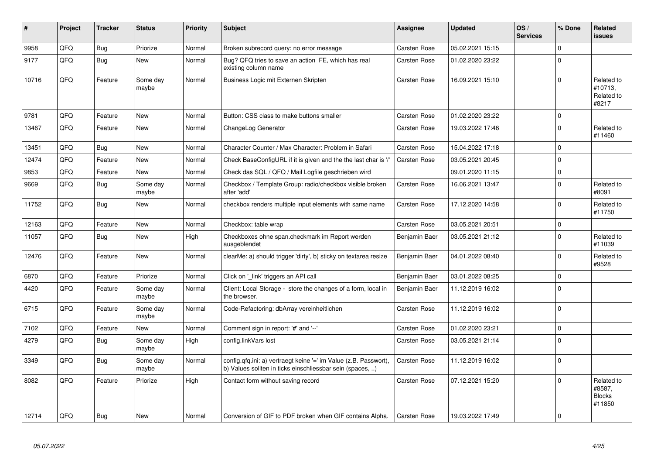| #     | Project | <b>Tracker</b> | <b>Status</b>     | <b>Priority</b> | <b>Subject</b>                                                                                                                | <b>Assignee</b>     | <b>Updated</b>   | OS/<br><b>Services</b> | % Done       | Related<br>issues                               |
|-------|---------|----------------|-------------------|-----------------|-------------------------------------------------------------------------------------------------------------------------------|---------------------|------------------|------------------------|--------------|-------------------------------------------------|
| 9958  | QFQ     | <b>Bug</b>     | Priorize          | Normal          | Broken subrecord query: no error message                                                                                      | <b>Carsten Rose</b> | 05.02.2021 15:15 |                        | $\Omega$     |                                                 |
| 9177  | QFQ     | Bug            | New               | Normal          | Bug? QFQ tries to save an action FE, which has real<br>existing column name                                                   | <b>Carsten Rose</b> | 01.02.2020 23:22 |                        | $\Omega$     |                                                 |
| 10716 | QFQ     | Feature        | Some day<br>maybe | Normal          | Business Logic mit Externen Skripten                                                                                          | <b>Carsten Rose</b> | 16.09.2021 15:10 |                        | $\Omega$     | Related to<br>#10713,<br>Related to<br>#8217    |
| 9781  | QFQ     | Feature        | New               | Normal          | Button: CSS class to make buttons smaller                                                                                     | <b>Carsten Rose</b> | 01.02.2020 23:22 |                        | $\Omega$     |                                                 |
| 13467 | QFQ     | Feature        | <b>New</b>        | Normal          | ChangeLog Generator                                                                                                           | <b>Carsten Rose</b> | 19.03.2022 17:46 |                        | $\Omega$     | Related to<br>#11460                            |
| 13451 | QFQ     | <b>Bug</b>     | <b>New</b>        | Normal          | Character Counter / Max Character: Problem in Safari                                                                          | <b>Carsten Rose</b> | 15.04.2022 17:18 |                        | $\Omega$     |                                                 |
| 12474 | QFQ     | Feature        | <b>New</b>        | Normal          | Check BaseConfigURL if it is given and the the last char is '/'                                                               | <b>Carsten Rose</b> | 03.05.2021 20:45 |                        | $\Omega$     |                                                 |
| 9853  | QFQ     | Feature        | <b>New</b>        | Normal          | Check das SQL / QFQ / Mail Logfile geschrieben wird                                                                           |                     | 09.01.2020 11:15 |                        | $\mathbf{0}$ |                                                 |
| 9669  | QFO     | <b>Bug</b>     | Some day<br>maybe | Normal          | Checkbox / Template Group: radio/checkbox visible broken<br>after 'add'                                                       | <b>Carsten Rose</b> | 16.06.2021 13:47 |                        | $\Omega$     | Related to<br>#8091                             |
| 11752 | QFQ     | <b>Bug</b>     | <b>New</b>        | Normal          | checkbox renders multiple input elements with same name                                                                       | <b>Carsten Rose</b> | 17.12.2020 14:58 |                        | $\Omega$     | Related to<br>#11750                            |
| 12163 | QFQ     | Feature        | <b>New</b>        | Normal          | Checkbox: table wrap                                                                                                          | <b>Carsten Rose</b> | 03.05.2021 20:51 |                        | $\mathbf{0}$ |                                                 |
| 11057 | QFQ     | Bug            | <b>New</b>        | High            | Checkboxes ohne span.checkmark im Report werden<br>ausgeblendet                                                               | Benjamin Baer       | 03.05.2021 21:12 |                        | $\Omega$     | Related to<br>#11039                            |
| 12476 | QFQ     | Feature        | <b>New</b>        | Normal          | clearMe: a) should trigger 'dirty', b) sticky on textarea resize                                                              | Benjamin Baer       | 04.01.2022 08:40 |                        | $\Omega$     | Related to<br>#9528                             |
| 6870  | QFQ     | Feature        | Priorize          | Normal          | Click on 'link' triggers an API call                                                                                          | Benjamin Baer       | 03.01.2022 08:25 |                        | $\Omega$     |                                                 |
| 4420  | QFQ     | Feature        | Some day<br>maybe | Normal          | Client: Local Storage - store the changes of a form, local in<br>the browser.                                                 | Benjamin Baer       | 11.12.2019 16:02 |                        | $\Omega$     |                                                 |
| 6715  | QFQ     | Feature        | Some day<br>maybe | Normal          | Code-Refactoring: dbArray vereinheitlichen                                                                                    | <b>Carsten Rose</b> | 11.12.2019 16:02 |                        | $\Omega$     |                                                 |
| 7102  | QFQ     | Feature        | <b>New</b>        | Normal          | Comment sign in report: '#' and '--'                                                                                          | <b>Carsten Rose</b> | 01.02.2020 23:21 |                        | $\mathbf{0}$ |                                                 |
| 4279  | QFQ     | <b>Bug</b>     | Some day<br>maybe | High            | config.linkVars lost                                                                                                          | <b>Carsten Rose</b> | 03.05.2021 21:14 |                        | $\Omega$     |                                                 |
| 3349  | QFQ     | Bug            | Some day<br>maybe | Normal          | config.qfq.ini: a) vertraegt keine '=' im Value (z.B. Passwort),<br>b) Values sollten in ticks einschliessbar sein (spaces, ) | <b>Carsten Rose</b> | 11.12.2019 16:02 |                        | $\Omega$     |                                                 |
| 8082  | QFQ     | Feature        | Priorize          | High            | Contact form without saving record                                                                                            | <b>Carsten Rose</b> | 07.12.2021 15:20 |                        | $\Omega$     | Related to<br>#8587,<br><b>Blocks</b><br>#11850 |
| 12714 | QFQ     | Bug            | New               | Normal          | Conversion of GIF to PDF broken when GIF contains Alpha.                                                                      | <b>Carsten Rose</b> | 19.03.2022 17:49 |                        | $\Omega$     |                                                 |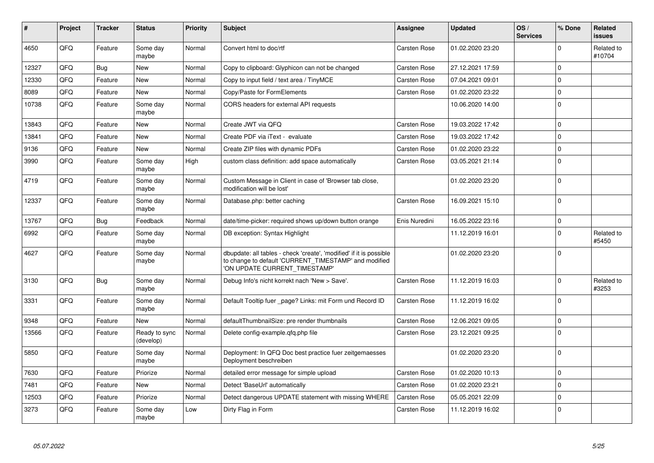| #     | <b>Project</b> | <b>Tracker</b> | <b>Status</b>              | <b>Priority</b> | <b>Subject</b>                                                                                                                                                | <b>Assignee</b>     | Updated          | OS/<br><b>Services</b> | % Done       | Related<br>issues    |
|-------|----------------|----------------|----------------------------|-----------------|---------------------------------------------------------------------------------------------------------------------------------------------------------------|---------------------|------------------|------------------------|--------------|----------------------|
| 4650  | QFQ            | Feature        | Some day<br>maybe          | Normal          | Convert html to doc/rtf                                                                                                                                       | Carsten Rose        | 01.02.2020 23:20 |                        | $\Omega$     | Related to<br>#10704 |
| 12327 | QFQ            | <b>Bug</b>     | <b>New</b>                 | Normal          | Copy to clipboard: Glyphicon can not be changed                                                                                                               | <b>Carsten Rose</b> | 27.12.2021 17:59 |                        | $\mathbf{0}$ |                      |
| 12330 | QFQ            | Feature        | New                        | Normal          | Copy to input field / text area / TinyMCE                                                                                                                     | Carsten Rose        | 07.04.2021 09:01 |                        | $\Omega$     |                      |
| 8089  | QFQ            | Feature        | New                        | Normal          | Copy/Paste for FormElements                                                                                                                                   | <b>Carsten Rose</b> | 01.02.2020 23:22 |                        | $\mathbf 0$  |                      |
| 10738 | QFQ            | Feature        | Some day<br>maybe          | Normal          | CORS headers for external API requests                                                                                                                        |                     | 10.06.2020 14:00 |                        | $\Omega$     |                      |
| 13843 | QFQ            | Feature        | New                        | Normal          | Create JWT via QFQ                                                                                                                                            | Carsten Rose        | 19.03.2022 17:42 |                        | $\mathbf 0$  |                      |
| 13841 | QFQ            | Feature        | <b>New</b>                 | Normal          | Create PDF via iText - evaluate                                                                                                                               | <b>Carsten Rose</b> | 19.03.2022 17:42 |                        | $\Omega$     |                      |
| 9136  | QFQ            | Feature        | New                        | Normal          | Create ZIP files with dynamic PDFs                                                                                                                            | <b>Carsten Rose</b> | 01.02.2020 23:22 |                        | $\mathbf{0}$ |                      |
| 3990  | QFQ            | Feature        | Some day<br>maybe          | High            | custom class definition: add space automatically                                                                                                              | <b>Carsten Rose</b> | 03.05.2021 21:14 |                        | $\Omega$     |                      |
| 4719  | QFQ.           | Feature        | Some day<br>maybe          | Normal          | Custom Message in Client in case of 'Browser tab close,<br>modification will be lost'                                                                         |                     | 01.02.2020 23:20 |                        | $\Omega$     |                      |
| 12337 | QFQ            | Feature        | Some day<br>maybe          | Normal          | Database.php: better caching                                                                                                                                  | <b>Carsten Rose</b> | 16.09.2021 15:10 |                        | $\Omega$     |                      |
| 13767 | QFQ            | <b>Bug</b>     | Feedback                   | Normal          | date/time-picker: required shows up/down button orange                                                                                                        | Enis Nuredini       | 16.05.2022 23:16 |                        | $\mathbf{0}$ |                      |
| 6992  | QFQ            | Feature        | Some day<br>maybe          | Normal          | DB exception: Syntax Highlight                                                                                                                                |                     | 11.12.2019 16:01 |                        | $\mathbf 0$  | Related to<br>#5450  |
| 4627  | QFQ            | Feature        | Some day<br>maybe          | Normal          | dbupdate: all tables - check 'create', 'modified' if it is possible<br>to change to default 'CURRENT_TIMESTAMP' and modified<br>'ON UPDATE CURRENT_TIMESTAMP' |                     | 01.02.2020 23:20 |                        | $\Omega$     |                      |
| 3130  | QFQ            | <b>Bug</b>     | Some day<br>maybe          | Normal          | Debug Info's nicht korrekt nach 'New > Save'.                                                                                                                 | Carsten Rose        | 11.12.2019 16:03 |                        | $\Omega$     | Related to<br>#3253  |
| 3331  | QFQ            | Feature        | Some day<br>maybe          | Normal          | Default Tooltip fuer _page? Links: mit Form und Record ID                                                                                                     | <b>Carsten Rose</b> | 11.12.2019 16:02 |                        | $\mathbf 0$  |                      |
| 9348  | QFQ            | Feature        | <b>New</b>                 | Normal          | defaultThumbnailSize: pre render thumbnails                                                                                                                   | <b>Carsten Rose</b> | 12.06.2021 09:05 |                        | $\mathbf{0}$ |                      |
| 13566 | QFQ            | Feature        | Ready to sync<br>(develop) | Normal          | Delete config-example.qfq.php file                                                                                                                            | <b>Carsten Rose</b> | 23.12.2021 09:25 |                        | $\Omega$     |                      |
| 5850  | QFQ            | Feature        | Some day<br>maybe          | Normal          | Deployment: In QFQ Doc best practice fuer zeitgemaesses<br>Deployment beschreiben                                                                             |                     | 01.02.2020 23:20 |                        | $\Omega$     |                      |
| 7630  | QFQ            | Feature        | Priorize                   | Normal          | detailed error message for simple upload                                                                                                                      | <b>Carsten Rose</b> | 01.02.2020 10:13 |                        | $\Omega$     |                      |
| 7481  | QFQ            | Feature        | New                        | Normal          | Detect 'BaseUrl' automatically                                                                                                                                | <b>Carsten Rose</b> | 01.02.2020 23:21 |                        | $\mathbf 0$  |                      |
| 12503 | QFQ            | Feature        | Priorize                   | Normal          | Detect dangerous UPDATE statement with missing WHERE                                                                                                          | Carsten Rose        | 05.05.2021 22:09 |                        | $\Omega$     |                      |
| 3273  | QFQ            | Feature        | Some day<br>maybe          | Low             | Dirty Flag in Form                                                                                                                                            | <b>Carsten Rose</b> | 11.12.2019 16:02 |                        | $\mathbf 0$  |                      |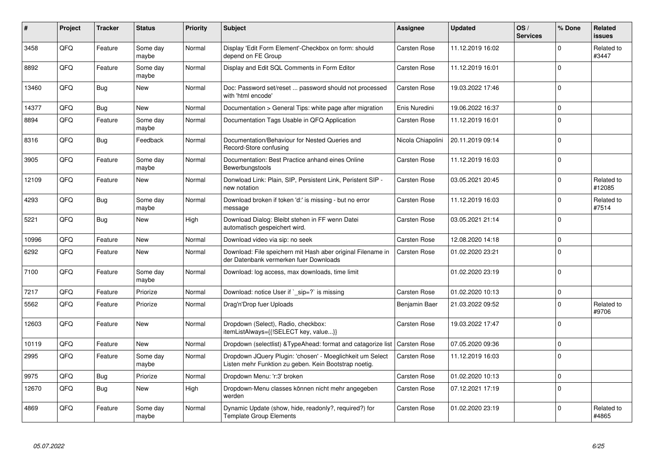| #     | Project | <b>Tracker</b> | <b>Status</b>     | <b>Priority</b> | <b>Subject</b>                                                                                                     | <b>Assignee</b>     | <b>Updated</b>   | OS/<br><b>Services</b> | % Done       | Related<br>issues    |
|-------|---------|----------------|-------------------|-----------------|--------------------------------------------------------------------------------------------------------------------|---------------------|------------------|------------------------|--------------|----------------------|
| 3458  | QFQ     | Feature        | Some day<br>maybe | Normal          | Display 'Edit Form Element'-Checkbox on form: should<br>depend on FE Group                                         | <b>Carsten Rose</b> | 11.12.2019 16:02 |                        | $\Omega$     | Related to<br>#3447  |
| 8892  | QFQ     | Feature        | Some day<br>maybe | Normal          | Display and Edit SQL Comments in Form Editor                                                                       | <b>Carsten Rose</b> | 11.12.2019 16:01 |                        | $\Omega$     |                      |
| 13460 | QFQ     | <b>Bug</b>     | New               | Normal          | Doc: Password set/reset  password should not processed<br>with 'html encode'                                       | <b>Carsten Rose</b> | 19.03.2022 17:46 |                        | $\Omega$     |                      |
| 14377 | QFQ     | Bug            | <b>New</b>        | Normal          | Documentation > General Tips: white page after migration                                                           | Enis Nuredini       | 19.06.2022 16:37 |                        | $\mathbf 0$  |                      |
| 8894  | QFQ     | Feature        | Some day<br>maybe | Normal          | Documentation Tags Usable in QFQ Application                                                                       | <b>Carsten Rose</b> | 11.12.2019 16:01 |                        | $\mathbf{0}$ |                      |
| 8316  | QFQ     | <b>Bug</b>     | Feedback          | Normal          | Documentation/Behaviour for Nested Queries and<br>Record-Store confusing                                           | Nicola Chiapolini   | 20.11.2019 09:14 |                        | $\Omega$     |                      |
| 3905  | QFQ     | Feature        | Some day<br>maybe | Normal          | Documentation: Best Practice anhand eines Online<br>Bewerbungstools                                                | <b>Carsten Rose</b> | 11.12.2019 16:03 |                        | $\Omega$     |                      |
| 12109 | QFQ     | Feature        | <b>New</b>        | Normal          | Donwload Link: Plain, SIP, Persistent Link, Peristent SIP -<br>new notation                                        | <b>Carsten Rose</b> | 03.05.2021 20:45 |                        | $\mathbf 0$  | Related to<br>#12085 |
| 4293  | QFQ     | Bug            | Some dav<br>maybe | Normal          | Download broken if token 'd:' is missing - but no error<br>message                                                 | <b>Carsten Rose</b> | 11.12.2019 16:03 |                        | $\mathbf 0$  | Related to<br>#7514  |
| 5221  | QFQ     | Bug            | New               | High            | Download Dialog: Bleibt stehen in FF wenn Datei<br>automatisch gespeichert wird.                                   | <b>Carsten Rose</b> | 03.05.2021 21:14 |                        | $\Omega$     |                      |
| 10996 | QFQ     | Feature        | New               | Normal          | Download video via sip: no seek                                                                                    | <b>Carsten Rose</b> | 12.08.2020 14:18 |                        | $\mathbf 0$  |                      |
| 6292  | QFQ     | Feature        | New               | Normal          | Download: File speichern mit Hash aber original Filename in<br>der Datenbank vermerken fuer Downloads              | <b>Carsten Rose</b> | 01.02.2020 23:21 |                        | $\Omega$     |                      |
| 7100  | QFQ     | Feature        | Some dav<br>maybe | Normal          | Download: log access, max downloads, time limit                                                                    |                     | 01.02.2020 23:19 |                        | $\Omega$     |                      |
| 7217  | QFQ     | Feature        | Priorize          | Normal          | Download: notice User if ` sip=?` is missing                                                                       | <b>Carsten Rose</b> | 01.02.2020 10:13 |                        | $\mathbf{0}$ |                      |
| 5562  | QFQ     | Feature        | Priorize          | Normal          | Drag'n'Drop fuer Uploads                                                                                           | Benjamin Baer       | 21.03.2022 09:52 |                        | $\Omega$     | Related to<br>#9706  |
| 12603 | QFQ     | Feature        | <b>New</b>        | Normal          | Dropdown (Select), Radio, checkbox:<br>itemListAlways={{!SELECT key, value}}                                       | Carsten Rose        | 19.03.2022 17:47 |                        | $\Omega$     |                      |
| 10119 | QFQ     | Feature        | <b>New</b>        | Normal          | Dropdown (selectlist) & Type Ahead: format and catagorize list                                                     | <b>Carsten Rose</b> | 07.05.2020 09:36 |                        | $\mathbf{0}$ |                      |
| 2995  | QFQ     | Feature        | Some day<br>maybe | Normal          | Dropdown JQuery Plugin: 'chosen' - Moeglichkeit um Select<br>Listen mehr Funktion zu geben. Kein Bootstrap noetig. | Carsten Rose        | 11.12.2019 16:03 |                        | $\Omega$     |                      |
| 9975  | QFQ     | <b>Bug</b>     | Priorize          | Normal          | Dropdown Menu: 'r:3' broken                                                                                        | <b>Carsten Rose</b> | 01.02.2020 10:13 |                        | $\mathbf{0}$ |                      |
| 12670 | QFQ     | Bug            | New               | High            | Dropdown-Menu classes können nicht mehr angegeben<br>werden                                                        | <b>Carsten Rose</b> | 07.12.2021 17:19 |                        | $\Omega$     |                      |
| 4869  | QFQ     | Feature        | Some day<br>maybe | Normal          | Dynamic Update (show, hide, readonly?, required?) for<br>Template Group Elements                                   | <b>Carsten Rose</b> | 01.02.2020 23:19 |                        | $\Omega$     | Related to<br>#4865  |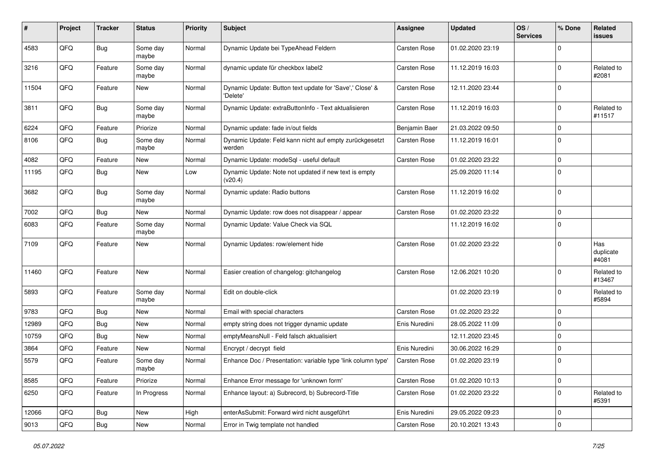| #     | Project | <b>Tracker</b> | <b>Status</b>     | <b>Priority</b> | <b>Subject</b>                                                       | <b>Assignee</b>     | <b>Updated</b>   | OS/<br><b>Services</b> | % Done      | Related<br>issues         |
|-------|---------|----------------|-------------------|-----------------|----------------------------------------------------------------------|---------------------|------------------|------------------------|-------------|---------------------------|
| 4583  | QFQ     | <b>Bug</b>     | Some day<br>maybe | Normal          | Dynamic Update bei TypeAhead Feldern                                 | Carsten Rose        | 01.02.2020 23:19 |                        | 0           |                           |
| 3216  | QFQ     | Feature        | Some day<br>maybe | Normal          | dynamic update für checkbox label2                                   | <b>Carsten Rose</b> | 11.12.2019 16:03 |                        | $\mathbf 0$ | Related to<br>#2081       |
| 11504 | QFQ     | Feature        | New               | Normal          | Dynamic Update: Button text update for 'Save',' Close' &<br>'Delete' | <b>Carsten Rose</b> | 12.11.2020 23:44 |                        | 0           |                           |
| 3811  | QFQ     | Bug            | Some day<br>maybe | Normal          | Dynamic Update: extraButtonInfo - Text aktualisieren                 | <b>Carsten Rose</b> | 11.12.2019 16:03 |                        | 0           | Related to<br>#11517      |
| 6224  | QFQ     | Feature        | Priorize          | Normal          | Dynamic update: fade in/out fields                                   | Benjamin Baer       | 21.03.2022 09:50 |                        | 0           |                           |
| 8106  | QFQ     | Bug            | Some day<br>maybe | Normal          | Dynamic Update: Feld kann nicht auf empty zurückgesetzt<br>werden    | Carsten Rose        | 11.12.2019 16:01 |                        | $\mathbf 0$ |                           |
| 4082  | QFQ     | Feature        | <b>New</b>        | Normal          | Dynamic Update: modeSql - useful default                             | Carsten Rose        | 01.02.2020 23:22 |                        | 0           |                           |
| 11195 | QFQ     | <b>Bug</b>     | New               | Low             | Dynamic Update: Note not updated if new text is empty<br>(v20.4)     |                     | 25.09.2020 11:14 |                        | $\mathbf 0$ |                           |
| 3682  | QFQ     | <b>Bug</b>     | Some day<br>maybe | Normal          | Dynamic update: Radio buttons                                        | <b>Carsten Rose</b> | 11.12.2019 16:02 |                        | $\mathbf 0$ |                           |
| 7002  | QFQ     | <b>Bug</b>     | <b>New</b>        | Normal          | Dynamic Update: row does not disappear / appear                      | <b>Carsten Rose</b> | 01.02.2020 23:22 |                        | 0           |                           |
| 6083  | QFQ     | Feature        | Some day<br>maybe | Normal          | Dynamic Update: Value Check via SQL                                  |                     | 11.12.2019 16:02 |                        | $\mathbf 0$ |                           |
| 7109  | QFQ     | Feature        | <b>New</b>        | Normal          | Dynamic Updates: row/element hide                                    | <b>Carsten Rose</b> | 01.02.2020 23:22 |                        | $\mathbf 0$ | Has<br>duplicate<br>#4081 |
| 11460 | QFQ     | Feature        | <b>New</b>        | Normal          | Easier creation of changelog: gitchangelog                           | <b>Carsten Rose</b> | 12.06.2021 10:20 |                        | $\mathbf 0$ | Related to<br>#13467      |
| 5893  | QFQ     | Feature        | Some day<br>maybe | Normal          | Edit on double-click                                                 |                     | 01.02.2020 23:19 |                        | 0           | Related to<br>#5894       |
| 9783  | QFQ     | Bug            | New               | Normal          | Email with special characters                                        | <b>Carsten Rose</b> | 01.02.2020 23:22 |                        | 0           |                           |
| 12989 | QFQ     | <b>Bug</b>     | <b>New</b>        | Normal          | empty string does not trigger dynamic update                         | Enis Nuredini       | 28.05.2022 11:09 |                        | 0           |                           |
| 10759 | QFQ     | <b>Bug</b>     | New               | Normal          | emptyMeansNull - Feld falsch aktualisiert                            |                     | 12.11.2020 23:45 |                        | 0           |                           |
| 3864  | QFQ     | Feature        | <b>New</b>        | Normal          | Encrypt / decrypt field                                              | Enis Nuredini       | 30.06.2022 16:29 |                        | $\mathbf 0$ |                           |
| 5579  | QFQ     | Feature        | Some day<br>maybe | Normal          | Enhance Doc / Presentation: variable type 'link column type'         | <b>Carsten Rose</b> | 01.02.2020 23:19 |                        | 0           |                           |
| 8585  | QFQ     | Feature        | Priorize          | Normal          | Enhance Error message for 'unknown form'                             | Carsten Rose        | 01.02.2020 10:13 |                        | 0           |                           |
| 6250  | QFQ     | Feature        | In Progress       | Normal          | Enhance layout: a) Subrecord, b) Subrecord-Title                     | Carsten Rose        | 01.02.2020 23:22 |                        | 0           | Related to<br>#5391       |
| 12066 | QFQ     | <b>Bug</b>     | New               | High            | enterAsSubmit: Forward wird nicht ausgeführt                         | Enis Nuredini       | 29.05.2022 09:23 |                        | 0           |                           |
| 9013  | QFQ     | <b>Bug</b>     | New               | Normal          | Error in Twig template not handled                                   | Carsten Rose        | 20.10.2021 13:43 |                        | 0           |                           |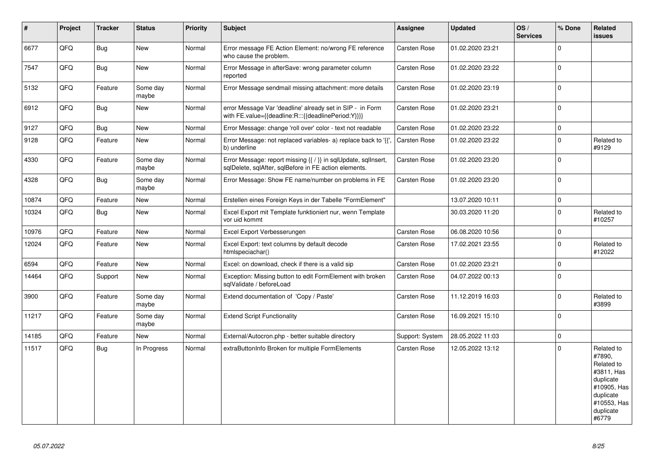| $\pmb{\sharp}$ | Project | <b>Tracker</b> | <b>Status</b>     | <b>Priority</b> | <b>Subject</b>                                                                                                          | Assignee            | <b>Updated</b>   | OS/<br><b>Services</b> | % Done       | Related<br><b>issues</b>                                                                                                       |
|----------------|---------|----------------|-------------------|-----------------|-------------------------------------------------------------------------------------------------------------------------|---------------------|------------------|------------------------|--------------|--------------------------------------------------------------------------------------------------------------------------------|
| 6677           | QFQ     | Bug            | New               | Normal          | Error message FE Action Element: no/wrong FE reference<br>who cause the problem.                                        | <b>Carsten Rose</b> | 01.02.2020 23:21 |                        | $\mathbf 0$  |                                                                                                                                |
| 7547           | QFQ     | Bug            | <b>New</b>        | Normal          | Error Message in afterSave: wrong parameter column<br>reported                                                          | Carsten Rose        | 01.02.2020 23:22 |                        | $\mathbf{0}$ |                                                                                                                                |
| 5132           | QFQ     | Feature        | Some day<br>maybe | Normal          | Error Message sendmail missing attachment: more details                                                                 | Carsten Rose        | 01.02.2020 23:19 |                        | $\mathbf{0}$ |                                                                                                                                |
| 6912           | QFQ     | Bug            | <b>New</b>        | Normal          | error Message Var 'deadline' already set in SIP - in Form<br>with FE.value={{deadline:R:::{{deadlinePeriod:Y}}}}        | Carsten Rose        | 01.02.2020 23:21 |                        | $\mathbf{0}$ |                                                                                                                                |
| 9127           | QFQ     | <b>Bug</b>     | <b>New</b>        | Normal          | Error Message: change 'roll over' color - text not readable                                                             | <b>Carsten Rose</b> | 01.02.2020 23:22 |                        | 0            |                                                                                                                                |
| 9128           | QFQ     | Feature        | <b>New</b>        | Normal          | Error Message: not replaced variables- a) replace back to '{{'<br>b) underline                                          | Carsten Rose        | 01.02.2020 23:22 |                        | $\Omega$     | Related to<br>#9129                                                                                                            |
| 4330           | QFQ     | Feature        | Some day<br>maybe | Normal          | Error Message: report missing {{ / }} in sqlUpdate, sqlInsert,<br>sqlDelete, sqlAfter, sqlBefore in FE action elements. | Carsten Rose        | 01.02.2020 23:20 |                        | $\mathbf{0}$ |                                                                                                                                |
| 4328           | QFQ     | Bug            | Some day<br>maybe | Normal          | Error Message: Show FE name/number on problems in FE                                                                    | <b>Carsten Rose</b> | 01.02.2020 23:20 |                        | $\mathbf{0}$ |                                                                                                                                |
| 10874          | QFQ     | Feature        | New               | Normal          | Erstellen eines Foreign Keys in der Tabelle "FormElement"                                                               |                     | 13.07.2020 10:11 |                        | $\mathbf{0}$ |                                                                                                                                |
| 10324          | QFQ     | Bug            | <b>New</b>        | Normal          | Excel Export mit Template funktioniert nur, wenn Template<br>vor uid kommt                                              |                     | 30.03.2020 11:20 |                        | 0            | Related to<br>#10257                                                                                                           |
| 10976          | QFQ     | Feature        | New               | Normal          | Excel Export Verbesserungen                                                                                             | Carsten Rose        | 06.08.2020 10:56 |                        | 0            |                                                                                                                                |
| 12024          | QFQ     | Feature        | New               | Normal          | Excel Export: text columns by default decode<br>htmlspeciachar()                                                        | <b>Carsten Rose</b> | 17.02.2021 23:55 |                        | $\mathbf{0}$ | Related to<br>#12022                                                                                                           |
| 6594           | QFQ     | Feature        | New               | Normal          | Excel: on download, check if there is a valid sip                                                                       | Carsten Rose        | 01.02.2020 23:21 |                        | $\mathsf{O}$ |                                                                                                                                |
| 14464          | QFQ     | Support        | <b>New</b>        | Normal          | Exception: Missing button to edit FormElement with broken<br>sglValidate / beforeLoad                                   | Carsten Rose        | 04.07.2022 00:13 |                        | $\mathbf 0$  |                                                                                                                                |
| 3900           | QFQ     | Feature        | Some day<br>maybe | Normal          | Extend documentation of 'Copy / Paste'                                                                                  | Carsten Rose        | 11.12.2019 16:03 |                        | $\Omega$     | Related to<br>#3899                                                                                                            |
| 11217          | QFQ     | Feature        | Some day<br>maybe | Normal          | <b>Extend Script Functionality</b>                                                                                      | Carsten Rose        | 16.09.2021 15:10 |                        | $\Omega$     |                                                                                                                                |
| 14185          | QFQ     | Feature        | <b>New</b>        | Normal          | External/Autocron.php - better suitable directory                                                                       | Support: System     | 28.05.2022 11:03 |                        | $\mathbf{0}$ |                                                                                                                                |
| 11517          | QFQ     | Bug            | In Progress       | Normal          | extraButtonInfo Broken for multiple FormElements                                                                        | Carsten Rose        | 12.05.2022 13:12 |                        | $\mathbf{0}$ | Related to<br>#7890,<br>Related to<br>#3811, Has<br>duplicate<br>#10905, Has<br>duplicate<br>#10553, Has<br>duplicate<br>#6779 |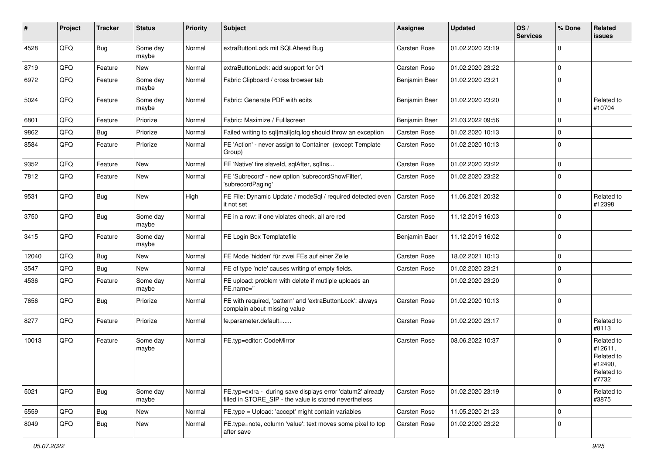| ∦     | Project | <b>Tracker</b> | <b>Status</b>     | <b>Priority</b> | <b>Subject</b>                                                                                                       | <b>Assignee</b>     | <b>Updated</b>   | OS/<br><b>Services</b> | % Done       | Related<br><b>issues</b>                                              |
|-------|---------|----------------|-------------------|-----------------|----------------------------------------------------------------------------------------------------------------------|---------------------|------------------|------------------------|--------------|-----------------------------------------------------------------------|
| 4528  | QFQ     | Bug            | Some day<br>maybe | Normal          | extraButtonLock mit SQLAhead Bug                                                                                     | Carsten Rose        | 01.02.2020 23:19 |                        | <sup>0</sup> |                                                                       |
| 8719  | QFQ     | Feature        | New               | Normal          | extraButtonLock: add support for 0/1                                                                                 | <b>Carsten Rose</b> | 01.02.2020 23:22 |                        | 0            |                                                                       |
| 6972  | QFQ     | Feature        | Some day<br>maybe | Normal          | Fabric Clipboard / cross browser tab                                                                                 | Benjamin Baer       | 01.02.2020 23:21 |                        | $\Omega$     |                                                                       |
| 5024  | QFQ     | Feature        | Some day<br>maybe | Normal          | Fabric: Generate PDF with edits                                                                                      | Benjamin Baer       | 01.02.2020 23:20 |                        | $\Omega$     | Related to<br>#10704                                                  |
| 6801  | QFQ     | Feature        | Priorize          | Normal          | Fabric: Maximize / FullIscreen                                                                                       | Benjamin Baer       | 21.03.2022 09:56 |                        | 0            |                                                                       |
| 9862  | QFQ     | Bug            | Priorize          | Normal          | Failed writing to sql mail qfq.log should throw an exception                                                         | <b>Carsten Rose</b> | 01.02.2020 10:13 |                        | 0            |                                                                       |
| 8584  | QFQ     | Feature        | Priorize          | Normal          | FE 'Action' - never assign to Container (except Template<br>Group)                                                   | Carsten Rose        | 01.02.2020 10:13 |                        | $\Omega$     |                                                                       |
| 9352  | QFQ     | Feature        | New               | Normal          | FE 'Native' fire slaveld, sqlAfter, sqlIns                                                                           | <b>Carsten Rose</b> | 01.02.2020 23:22 |                        | $\mathbf 0$  |                                                                       |
| 7812  | QFQ     | Feature        | New               | Normal          | FE 'Subrecord' - new option 'subrecordShowFilter',<br>'subrecordPaging'                                              | <b>Carsten Rose</b> | 01.02.2020 23:22 |                        | 0            |                                                                       |
| 9531  | QFQ     | <b>Bug</b>     | New               | High            | FE File: Dynamic Update / modeSql / required detected even<br>it not set                                             | <b>Carsten Rose</b> | 11.06.2021 20:32 |                        | 0            | Related to<br>#12398                                                  |
| 3750  | QFQ     | Bug            | Some day<br>maybe | Normal          | FE in a row: if one violates check, all are red                                                                      | Carsten Rose        | 11.12.2019 16:03 |                        | 0            |                                                                       |
| 3415  | QFQ     | Feature        | Some day<br>maybe | Normal          | FE Login Box Templatefile                                                                                            | Benjamin Baer       | 11.12.2019 16:02 |                        | $\Omega$     |                                                                       |
| 12040 | QFQ     | Bug            | New               | Normal          | FE Mode 'hidden' für zwei FEs auf einer Zeile                                                                        | <b>Carsten Rose</b> | 18.02.2021 10:13 |                        | $\mathbf 0$  |                                                                       |
| 3547  | QFQ     | Bug            | New               | Normal          | FE of type 'note' causes writing of empty fields.                                                                    | Carsten Rose        | 01.02.2020 23:21 |                        | $\mathbf 0$  |                                                                       |
| 4536  | QFQ     | Feature        | Some day<br>maybe | Normal          | FE upload: problem with delete if mutliple uploads an<br>FE.name="                                                   |                     | 01.02.2020 23:20 |                        | $\Omega$     |                                                                       |
| 7656  | QFQ     | Bug            | Priorize          | Normal          | FE with required, 'pattern' and 'extraButtonLock': always<br>complain about missing value                            | <b>Carsten Rose</b> | 01.02.2020 10:13 |                        | $\mathbf 0$  |                                                                       |
| 8277  | QFQ     | Feature        | Priorize          | Normal          | fe.parameter.default=                                                                                                | Carsten Rose        | 01.02.2020 23:17 |                        | 0            | Related to<br>#8113                                                   |
| 10013 | QFQ     | Feature        | Some day<br>maybe | Normal          | FE.typ=editor: CodeMirror                                                                                            | <b>Carsten Rose</b> | 08.06.2022 10:37 |                        | 0            | Related to<br>#12611,<br>Related to<br>#12490,<br>Related to<br>#7732 |
| 5021  | QFQ     | <b>Bug</b>     | Some day<br>maybe | Normal          | FE.typ=extra - during save displays error 'datum2' already<br>filled in STORE_SIP - the value is stored nevertheless | Carsten Rose        | 01.02.2020 23:19 |                        | $\mathbf 0$  | Related to<br>#3875                                                   |
| 5559  | QFQ     | <b>Bug</b>     | New               | Normal          | FE.type = Upload: 'accept' might contain variables                                                                   | Carsten Rose        | 11.05.2020 21:23 |                        | 0            |                                                                       |
| 8049  | QFQ     | <b>Bug</b>     | New               | Normal          | FE.type=note, column 'value': text moves some pixel to top<br>after save                                             | Carsten Rose        | 01.02.2020 23:22 |                        | 0            |                                                                       |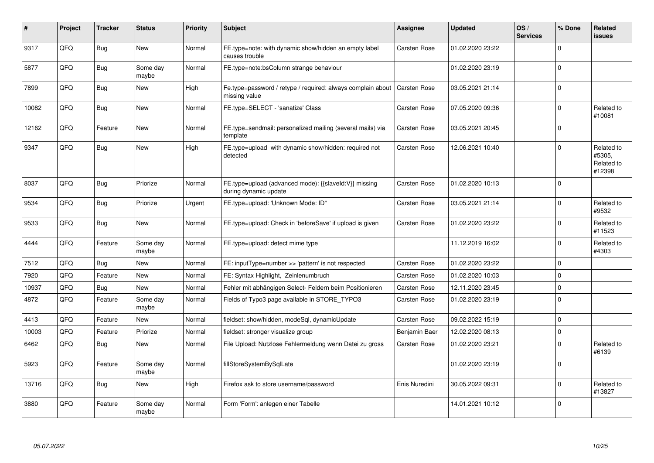| $\#$  | Project | <b>Tracker</b> | <b>Status</b>     | <b>Priority</b> | <b>Subject</b>                                                                 | <b>Assignee</b>     | <b>Updated</b>   | OS/<br><b>Services</b> | % Done      | <b>Related</b><br>issues                     |
|-------|---------|----------------|-------------------|-----------------|--------------------------------------------------------------------------------|---------------------|------------------|------------------------|-------------|----------------------------------------------|
| 9317  | QFQ     | Bug            | <b>New</b>        | Normal          | FE.type=note: with dynamic show/hidden an empty label<br>causes trouble        | Carsten Rose        | 01.02.2020 23:22 |                        | $\Omega$    |                                              |
| 5877  | QFQ     | Bug            | Some day<br>maybe | Normal          | FE.type=note:bsColumn strange behaviour                                        |                     | 01.02.2020 23:19 |                        | $\Omega$    |                                              |
| 7899  | QFQ     | <b>Bug</b>     | <b>New</b>        | High            | Fe.type=password / retype / required: always complain about<br>missing value   | <b>Carsten Rose</b> | 03.05.2021 21:14 |                        | $\Omega$    |                                              |
| 10082 | QFQ     | Bug            | New               | Normal          | FE.type=SELECT - 'sanatize' Class                                              | Carsten Rose        | 07.05.2020 09:36 |                        | 0           | Related to<br>#10081                         |
| 12162 | QFQ     | Feature        | New               | Normal          | FE.type=sendmail: personalized mailing (several mails) via<br>template         | <b>Carsten Rose</b> | 03.05.2021 20:45 |                        | $\Omega$    |                                              |
| 9347  | QFQ     | Bug            | New               | High            | FE.type=upload with dynamic show/hidden: required not<br>detected              | <b>Carsten Rose</b> | 12.06.2021 10:40 |                        | $\Omega$    | Related to<br>#5305,<br>Related to<br>#12398 |
| 8037  | QFQ     | Bug            | Priorize          | Normal          | FE.type=upload (advanced mode): {{slaveld:V}} missing<br>during dynamic update | <b>Carsten Rose</b> | 01.02.2020 10:13 |                        | $\Omega$    |                                              |
| 9534  | QFQ     | Bug            | Priorize          | Urgent          | FE.type=upload: 'Unknown Mode: ID"                                             | <b>Carsten Rose</b> | 03.05.2021 21:14 |                        | $\Omega$    | Related to<br>#9532                          |
| 9533  | QFQ     | Bug            | New               | Normal          | FE.type=upload: Check in 'beforeSave' if upload is given                       | <b>Carsten Rose</b> | 01.02.2020 23:22 |                        | $\Omega$    | Related to<br>#11523                         |
| 4444  | QFQ     | Feature        | Some day<br>maybe | Normal          | FE.type=upload: detect mime type                                               |                     | 11.12.2019 16:02 |                        | $\Omega$    | Related to<br>#4303                          |
| 7512  | QFQ     | Bug            | <b>New</b>        | Normal          | FE: inputType=number >> 'pattern' is not respected                             | <b>Carsten Rose</b> | 01.02.2020 23:22 |                        | $\mathbf 0$ |                                              |
| 7920  | QFQ     | Feature        | <b>New</b>        | Normal          | FE: Syntax Highlight, Zeinlenumbruch                                           | <b>Carsten Rose</b> | 01.02.2020 10:03 |                        | $\mathbf 0$ |                                              |
| 10937 | QFQ     | Bug            | <b>New</b>        | Normal          | Fehler mit abhängigen Select- Feldern beim Positionieren                       | <b>Carsten Rose</b> | 12.11.2020 23:45 |                        | $\Omega$    |                                              |
| 4872  | QFQ     | Feature        | Some day<br>maybe | Normal          | Fields of Typo3 page available in STORE TYPO3                                  | Carsten Rose        | 01.02.2020 23:19 |                        | $\Omega$    |                                              |
| 4413  | QFQ     | Feature        | New               | Normal          | fieldset: show/hidden, modeSql, dynamicUpdate                                  | <b>Carsten Rose</b> | 09.02.2022 15:19 |                        | 0           |                                              |
| 10003 | QFQ     | Feature        | Priorize          | Normal          | fieldset: stronger visualize group                                             | Benjamin Baer       | 12.02.2020 08:13 |                        | $\Omega$    |                                              |
| 6462  | QFQ     | Bug            | New               | Normal          | File Upload: Nutzlose Fehlermeldung wenn Datei zu gross                        | Carsten Rose        | 01.02.2020 23:21 |                        | $\Omega$    | Related to<br>#6139                          |
| 5923  | QFQ     | Feature        | Some day<br>maybe | Normal          | fillStoreSystemBySqlLate                                                       |                     | 01.02.2020 23:19 |                        | $\mathbf 0$ |                                              |
| 13716 | QFQ     | Bug            | New               | High            | Firefox ask to store username/password                                         | Enis Nuredini       | 30.05.2022 09:31 |                        | $\Omega$    | Related to<br>#13827                         |
| 3880  | QFQ     | Feature        | Some day<br>maybe | Normal          | Form 'Form': anlegen einer Tabelle                                             |                     | 14.01.2021 10:12 |                        | $\Omega$    |                                              |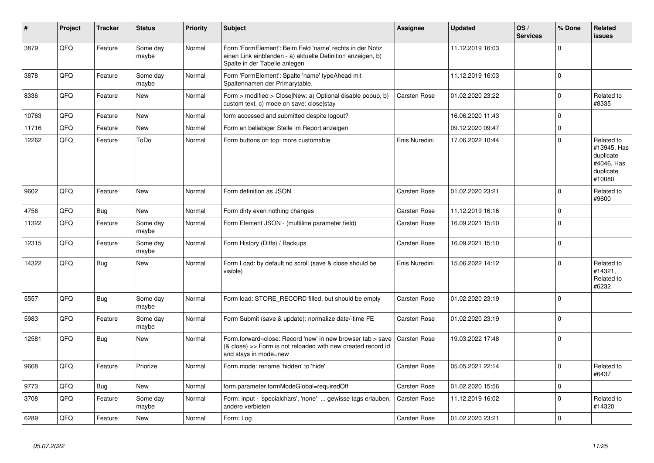| $\vert$ # | Project | <b>Tracker</b> | <b>Status</b>     | <b>Priority</b> | <b>Subject</b>                                                                                                                                           | Assignee            | <b>Updated</b>   | OS/<br><b>Services</b> | % Done      | Related<br><b>issues</b>                                                    |
|-----------|---------|----------------|-------------------|-----------------|----------------------------------------------------------------------------------------------------------------------------------------------------------|---------------------|------------------|------------------------|-------------|-----------------------------------------------------------------------------|
| 3879      | QFQ     | Feature        | Some day<br>maybe | Normal          | Form 'FormElement': Beim Feld 'name' rechts in der Notiz<br>einen Link einblenden - a) aktuelle Definition anzeigen, b)<br>Spalte in der Tabelle anlegen |                     | 11.12.2019 16:03 |                        | $\Omega$    |                                                                             |
| 3878      | QFQ     | Feature        | Some day<br>maybe | Normal          | Form 'FormElement': Spalte 'name' typeAhead mit<br>Spaltennamen der Primarytable.                                                                        |                     | 11.12.2019 16:03 |                        | $\Omega$    |                                                                             |
| 8336      | QFQ     | Feature        | New               | Normal          | Form > modified > Close New: a) Optional disable popup, b)<br>custom text, c) mode on save: close stay                                                   | <b>Carsten Rose</b> | 01.02.2020 23:22 |                        | $\Omega$    | Related to<br>#8335                                                         |
| 10763     | QFQ     | Feature        | New               | Normal          | form accessed and submitted despite logout?                                                                                                              |                     | 16.06.2020 11:43 |                        | $\Omega$    |                                                                             |
| 11716     | QFQ     | Feature        | <b>New</b>        | Normal          | Form an beliebiger Stelle im Report anzeigen                                                                                                             |                     | 09.12.2020 09:47 |                        | $\Omega$    |                                                                             |
| 12262     | QFQ     | Feature        | ToDo              | Normal          | Form buttons on top: more customable                                                                                                                     | Enis Nuredini       | 17.06.2022 10:44 |                        | $\Omega$    | Related to<br>#13945, Has<br>duplicate<br>#4046, Has<br>duplicate<br>#10080 |
| 9602      | QFQ     | Feature        | <b>New</b>        | Normal          | Form definition as JSON                                                                                                                                  | Carsten Rose        | 01.02.2020 23:21 |                        | $\Omega$    | Related to<br>#9600                                                         |
| 4756      | QFQ     | <b>Bug</b>     | <b>New</b>        | Normal          | Form dirty even nothing changes                                                                                                                          | Carsten Rose        | 11.12.2019 16:16 |                        | $\Omega$    |                                                                             |
| 11322     | QFQ     | Feature        | Some day<br>maybe | Normal          | Form Element JSON - (multiline parameter field)                                                                                                          | <b>Carsten Rose</b> | 16.09.2021 15:10 |                        | $\Omega$    |                                                                             |
| 12315     | QFQ     | Feature        | Some day<br>maybe | Normal          | Form History (Diffs) / Backups                                                                                                                           | <b>Carsten Rose</b> | 16.09.2021 15:10 |                        | $\Omega$    |                                                                             |
| 14322     | QFQ     | Bug            | New               | Normal          | Form Load: by default no scroll (save & close should be<br>visible)                                                                                      | Enis Nuredini       | 15.06.2022 14:12 |                        | $\Omega$    | Related to<br>#14321,<br>Related to<br>#6232                                |
| 5557      | QFQ     | Bug            | Some day<br>maybe | Normal          | Form load: STORE_RECORD filled, but should be empty                                                                                                      | Carsten Rose        | 01.02.2020 23:19 |                        | $\Omega$    |                                                                             |
| 5983      | QFQ     | Feature        | Some day<br>maybe | Normal          | Form Submit (save & update): normalize date/-time FE                                                                                                     | <b>Carsten Rose</b> | 01.02.2020 23:19 |                        | $\Omega$    |                                                                             |
| 12581     | QFQ     | Bug            | <b>New</b>        | Normal          | Form.forward=close: Record 'new' in new browser tab > save<br>(& close) >> Form is not reloaded with new created record id<br>and stays in mode=new      | <b>Carsten Rose</b> | 19.03.2022 17:48 |                        | $\Omega$    |                                                                             |
| 9668      | QFQ     | Feature        | Priorize          | Normal          | Form.mode: rename 'hidden' to 'hide'                                                                                                                     | Carsten Rose        | 05.05.2021 22:14 |                        | $\Omega$    | Related to<br>#6437                                                         |
| 9773      | QFQ     | Bug            | New               | Normal          | form.parameter.formModeGlobal=requiredOff                                                                                                                | <b>Carsten Rose</b> | 01.02.2020 15:56 |                        | $\mathbf 0$ |                                                                             |
| 3708      | QFQ     | Feature        | Some day<br>maybe | Normal          | Form: input - 'specialchars', 'none'  gewisse tags erlauben,<br>andere verbieten                                                                         | Carsten Rose        | 11.12.2019 16:02 |                        | $\Omega$    | Related to<br>#14320                                                        |
| 6289      | QFQ     | Feature        | <b>New</b>        | Normal          | Form: Log                                                                                                                                                | <b>Carsten Rose</b> | 01.02.2020 23:21 |                        | $\Omega$    |                                                                             |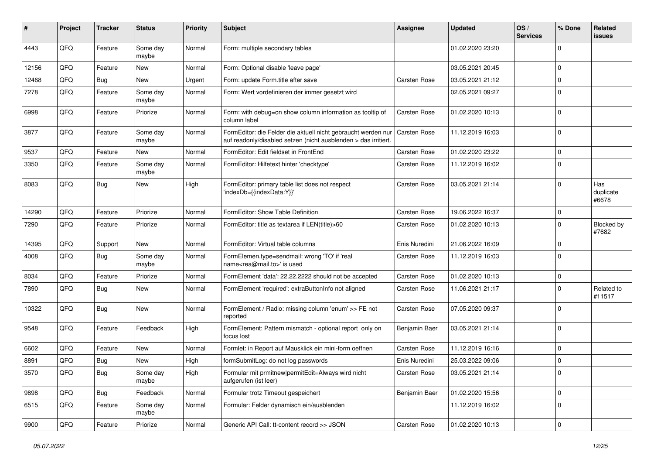| #     | Project | <b>Tracker</b> | <b>Status</b>     | Priority | <b>Subject</b>                                                                                                                   | <b>Assignee</b>     | <b>Updated</b>   | OS/<br><b>Services</b> | % Done              | Related<br>issues         |
|-------|---------|----------------|-------------------|----------|----------------------------------------------------------------------------------------------------------------------------------|---------------------|------------------|------------------------|---------------------|---------------------------|
| 4443  | QFQ     | Feature        | Some day<br>maybe | Normal   | Form: multiple secondary tables                                                                                                  |                     | 01.02.2020 23:20 |                        | $\mathbf 0$         |                           |
| 12156 | QFQ     | Feature        | New               | Normal   | Form: Optional disable 'leave page'                                                                                              |                     | 03.05.2021 20:45 |                        | 0                   |                           |
| 12468 | QFQ     | Bug            | <b>New</b>        | Urgent   | Form: update Form.title after save                                                                                               | <b>Carsten Rose</b> | 03.05.2021 21:12 |                        | $\mathbf 0$         |                           |
| 7278  | QFQ     | Feature        | Some day<br>maybe | Normal   | Form: Wert vordefinieren der immer gesetzt wird                                                                                  |                     | 02.05.2021 09:27 |                        | $\mathbf{0}$        |                           |
| 6998  | QFQ     | Feature        | Priorize          | Normal   | Form: with debug=on show column information as tooltip of<br>column label                                                        | <b>Carsten Rose</b> | 01.02.2020 10:13 |                        | $\mathbf 0$         |                           |
| 3877  | QFQ     | Feature        | Some day<br>maybe | Normal   | FormEditor: die Felder die aktuell nicht gebraucht werden nur<br>auf readonly/disabled setzen (nicht ausblenden > das irritiert. | <b>Carsten Rose</b> | 11.12.2019 16:03 |                        | $\mathbf 0$         |                           |
| 9537  | QFQ     | Feature        | New               | Normal   | FormEditor: Edit fieldset in FrontEnd                                                                                            | <b>Carsten Rose</b> | 01.02.2020 23:22 |                        | $\mathbf 0$         |                           |
| 3350  | QFQ     | Feature        | Some day<br>maybe | Normal   | FormEditor: Hilfetext hinter 'checktype'                                                                                         | <b>Carsten Rose</b> | 11.12.2019 16:02 |                        | $\mathbf 0$         |                           |
| 8083  | QFQ     | Bug            | New               | High     | FormEditor: primary table list does not respect<br>'indexDb={{indexData:Y}}'                                                     | <b>Carsten Rose</b> | 03.05.2021 21:14 |                        | $\mathbf 0$         | Has<br>duplicate<br>#6678 |
| 14290 | QFQ     | Feature        | Priorize          | Normal   | FormEditor: Show Table Definition                                                                                                | Carsten Rose        | 19.06.2022 16:37 |                        | $\mathbf 0$         |                           |
| 7290  | QFQ     | Feature        | Priorize          | Normal   | FormEditor: title as textarea if LEN(title)>60                                                                                   | <b>Carsten Rose</b> | 01.02.2020 10:13 |                        | $\mathbf 0$         | Blocked by<br>#7682       |
| 14395 | QFQ     | Support        | <b>New</b>        | Normal   | FormEditor: Virtual table columns                                                                                                | Enis Nuredini       | 21.06.2022 16:09 |                        | 0                   |                           |
| 4008  | QFQ     | Bug            | Some day<br>maybe | Normal   | FormElemen.type=sendmail: wrong 'TO' if 'real<br>name <rea@mail.to>' is used</rea@mail.to>                                       | <b>Carsten Rose</b> | 11.12.2019 16:03 |                        | $\mathbf 0$         |                           |
| 8034  | QFQ     | Feature        | Priorize          | Normal   | FormElement 'data': 22.22.2222 should not be accepted                                                                            | Carsten Rose        | 01.02.2020 10:13 |                        | 0                   |                           |
| 7890  | QFQ     | <b>Bug</b>     | <b>New</b>        | Normal   | FormElement 'required': extraButtonInfo not aligned                                                                              | <b>Carsten Rose</b> | 11.06.2021 21:17 |                        | $\mathbf 0$         | Related to<br>#11517      |
| 10322 | QFQ     | Bug            | New               | Normal   | FormElement / Radio: missing column 'enum' >> FE not<br>reported                                                                 | <b>Carsten Rose</b> | 07.05.2020 09:37 |                        | $\mathbf{0}$        |                           |
| 9548  | QFQ     | Feature        | Feedback          | High     | FormElement: Pattern mismatch - optional report only on<br>focus lost                                                            | Benjamin Baer       | 03.05.2021 21:14 |                        | $\mathbf 0$         |                           |
| 6602  | QFQ     | Feature        | <b>New</b>        | Normal   | Formlet: in Report auf Mausklick ein mini-form oeffnen                                                                           | Carsten Rose        | 11.12.2019 16:16 |                        | $\mathbf 0$         |                           |
| 8891  | QFQ     | Bug            | <b>New</b>        | High     | formSubmitLog: do not log passwords                                                                                              | Enis Nuredini       | 25.03.2022 09:06 |                        | $\mathbf 0$         |                           |
| 3570  | QFQ     | Bug            | Some day<br>maybe | High     | Formular mit prmitnew permitEdit=Always wird nicht<br>aufgerufen (ist leer)                                                      | <b>Carsten Rose</b> | 03.05.2021 21:14 |                        | 0                   |                           |
| 9898  | QFQ     | Bug            | Feedback          | Normal   | Formular trotz Timeout gespeichert                                                                                               | Benjamin Baer       | 01.02.2020 15:56 |                        | $\mathbf 0$         |                           |
| 6515  | QFQ     | Feature        | Some day<br>maybe | Normal   | Formular: Felder dynamisch ein/ausblenden                                                                                        |                     | 11.12.2019 16:02 |                        | 0                   |                           |
| 9900  | QFQ     | Feature        | Priorize          | Normal   | Generic API Call: tt-content record >> JSON                                                                                      | Carsten Rose        | 01.02.2020 10:13 |                        | $\mathsf{O}\xspace$ |                           |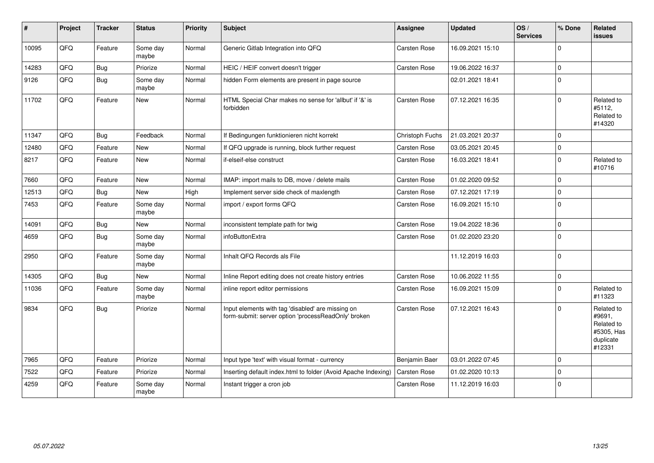| ∦     | Project | <b>Tracker</b> | <b>Status</b>     | <b>Priority</b> | <b>Subject</b>                                                                                           | <b>Assignee</b>     | <b>Updated</b>   | OS/<br><b>Services</b> | % Done       | Related<br><b>issues</b>                                                |
|-------|---------|----------------|-------------------|-----------------|----------------------------------------------------------------------------------------------------------|---------------------|------------------|------------------------|--------------|-------------------------------------------------------------------------|
| 10095 | QFQ     | Feature        | Some day<br>maybe | Normal          | Generic Gitlab Integration into QFQ                                                                      | Carsten Rose        | 16.09.2021 15:10 |                        | <sup>0</sup> |                                                                         |
| 14283 | QFQ     | <b>Bug</b>     | Priorize          | Normal          | HEIC / HEIF convert doesn't trigger                                                                      | Carsten Rose        | 19.06.2022 16:37 |                        | 0            |                                                                         |
| 9126  | QFQ     | <b>Bug</b>     | Some day<br>maybe | Normal          | hidden Form elements are present in page source                                                          |                     | 02.01.2021 18:41 |                        | $\Omega$     |                                                                         |
| 11702 | QFQ     | Feature        | <b>New</b>        | Normal          | HTML Special Char makes no sense for 'allbut' if '&' is<br>forbidden                                     | <b>Carsten Rose</b> | 07.12.2021 16:35 |                        | 0            | Related to<br>#5112,<br>Related to<br>#14320                            |
| 11347 | QFQ     | <b>Bug</b>     | Feedback          | Normal          | If Bedingungen funktionieren nicht korrekt                                                               | Christoph Fuchs     | 21.03.2021 20:37 |                        | $\Omega$     |                                                                         |
| 12480 | QFQ     | Feature        | <b>New</b>        | Normal          | If QFQ upgrade is running, block further request                                                         | <b>Carsten Rose</b> | 03.05.2021 20:45 |                        | $\Omega$     |                                                                         |
| 8217  | QFQ     | Feature        | New               | Normal          | if-elseif-else construct                                                                                 | Carsten Rose        | 16.03.2021 18:41 |                        | $\mathbf 0$  | Related to<br>#10716                                                    |
| 7660  | QFQ     | Feature        | <b>New</b>        | Normal          | IMAP: import mails to DB, move / delete mails                                                            | Carsten Rose        | 01.02.2020 09:52 |                        | $\Omega$     |                                                                         |
| 12513 | QFQ     | Bug            | <b>New</b>        | High            | Implement server side check of maxlength                                                                 | Carsten Rose        | 07.12.2021 17:19 |                        | $\Omega$     |                                                                         |
| 7453  | QFQ     | Feature        | Some day<br>maybe | Normal          | import / export forms QFQ                                                                                | Carsten Rose        | 16.09.2021 15:10 |                        | $\Omega$     |                                                                         |
| 14091 | QFQ     | <b>Bug</b>     | <b>New</b>        | Normal          | inconsistent template path for twig                                                                      | Carsten Rose        | 19.04.2022 18:36 |                        | 0            |                                                                         |
| 4659  | QFQ     | <b>Bug</b>     | Some day<br>maybe | Normal          | infoButtonExtra                                                                                          | Carsten Rose        | 01.02.2020 23:20 |                        | $\Omega$     |                                                                         |
| 2950  | QFQ     | Feature        | Some day<br>maybe | Normal          | Inhalt QFQ Records als File                                                                              |                     | 11.12.2019 16:03 |                        | $\Omega$     |                                                                         |
| 14305 | QFQ     | <b>Bug</b>     | <b>New</b>        | Normal          | Inline Report editing does not create history entries                                                    | <b>Carsten Rose</b> | 10.06.2022 11:55 |                        | $\mathbf 0$  |                                                                         |
| 11036 | QFQ     | Feature        | Some day<br>maybe | Normal          | inline report editor permissions                                                                         | <b>Carsten Rose</b> | 16.09.2021 15:09 |                        | 0            | Related to<br>#11323                                                    |
| 9834  | QFQ     | <b>Bug</b>     | Priorize          | Normal          | Input elements with tag 'disabled' are missing on<br>form-submit: server option 'processReadOnly' broken | Carsten Rose        | 07.12.2021 16:43 |                        | $\Omega$     | Related to<br>#9691,<br>Related to<br>#5305, Has<br>duplicate<br>#12331 |
| 7965  | QFQ     | Feature        | Priorize          | Normal          | Input type 'text' with visual format - currency                                                          | Benjamin Baer       | 03.01.2022 07:45 |                        | 0            |                                                                         |
| 7522  | QFQ     | Feature        | Priorize          | Normal          | Inserting default index.html to folder (Avoid Apache Indexing)                                           | <b>Carsten Rose</b> | 01.02.2020 10:13 |                        | $\Omega$     |                                                                         |
| 4259  | QFQ     | Feature        | Some day<br>maybe | Normal          | Instant trigger a cron job                                                                               | Carsten Rose        | 11.12.2019 16:03 |                        | $\Omega$     |                                                                         |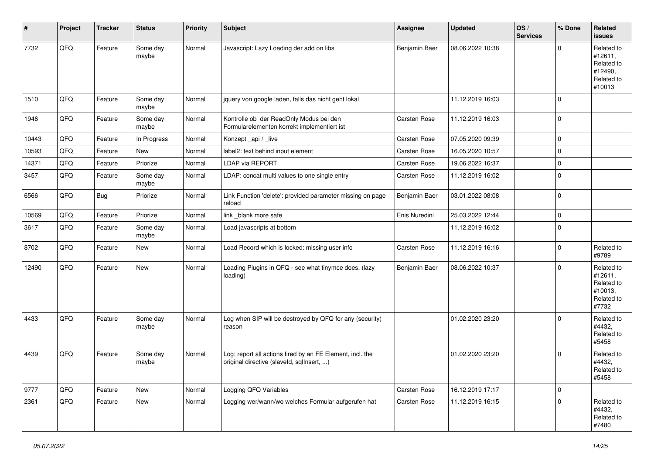| #     | Project | <b>Tracker</b> | <b>Status</b>     | <b>Priority</b> | <b>Subject</b>                                                                                         | <b>Assignee</b>     | <b>Updated</b>   | OS/<br><b>Services</b> | % Done       | Related<br><b>issues</b>                                               |
|-------|---------|----------------|-------------------|-----------------|--------------------------------------------------------------------------------------------------------|---------------------|------------------|------------------------|--------------|------------------------------------------------------------------------|
| 7732  | QFQ     | Feature        | Some day<br>maybe | Normal          | Javascript: Lazy Loading der add on libs                                                               | Benjamin Baer       | 08.06.2022 10:38 |                        | <sup>0</sup> | Related to<br>#12611,<br>Related to<br>#12490,<br>Related to<br>#10013 |
| 1510  | QFQ     | Feature        | Some day<br>maybe | Normal          | jquery von google laden, falls das nicht geht lokal                                                    |                     | 11.12.2019 16:03 |                        | $\Omega$     |                                                                        |
| 1946  | QFQ     | Feature        | Some day<br>maybe | Normal          | Kontrolle ob der ReadOnly Modus bei den<br>Formularelementen korrekt implementiert ist                 | Carsten Rose        | 11.12.2019 16:03 |                        | $\mathbf 0$  |                                                                        |
| 10443 | QFQ     | Feature        | In Progress       | Normal          | Konzept_api / _live                                                                                    | <b>Carsten Rose</b> | 07.05.2020 09:39 |                        | $\Omega$     |                                                                        |
| 10593 | QFQ     | Feature        | New               | Normal          | label2: text behind input element                                                                      | <b>Carsten Rose</b> | 16.05.2020 10:57 |                        | 0            |                                                                        |
| 14371 | QFQ     | Feature        | Priorize          | Normal          | <b>LDAP via REPORT</b>                                                                                 | Carsten Rose        | 19.06.2022 16:37 |                        | $\mathbf 0$  |                                                                        |
| 3457  | QFQ     | Feature        | Some day<br>maybe | Normal          | LDAP: concat multi values to one single entry                                                          | Carsten Rose        | 11.12.2019 16:02 |                        | $\Omega$     |                                                                        |
| 6566  | QFQ     | Bug            | Priorize          | Normal          | Link Function 'delete': provided parameter missing on page<br>reload                                   | Benjamin Baer       | 03.01.2022 08:08 |                        | $\Omega$     |                                                                        |
| 10569 | QFQ     | Feature        | Priorize          | Normal          | link _blank more safe                                                                                  | Enis Nuredini       | 25.03.2022 12:44 |                        | $\mathbf 0$  |                                                                        |
| 3617  | QFO     | Feature        | Some day<br>maybe | Normal          | Load javascripts at bottom                                                                             |                     | 11.12.2019 16:02 |                        | 0            |                                                                        |
| 8702  | QFQ     | Feature        | New               | Normal          | Load Record which is locked: missing user info                                                         | <b>Carsten Rose</b> | 11.12.2019 16:16 |                        | $\mathbf 0$  | Related to<br>#9789                                                    |
| 12490 | QFQ     | Feature        | New               | Normal          | Loading Plugins in QFQ - see what tinymce does. (lazy<br>loading)                                      | Benjamin Baer       | 08.06.2022 10:37 |                        | $\Omega$     | Related to<br>#12611,<br>Related to<br>#10013,<br>Related to<br>#7732  |
| 4433  | QFQ     | Feature        | Some day<br>maybe | Normal          | Log when SIP will be destroyed by QFQ for any (security)<br>reason                                     |                     | 01.02.2020 23:20 |                        | 0            | Related to<br>#4432,<br>Related to<br>#5458                            |
| 4439  | QFQ     | Feature        | Some day<br>maybe | Normal          | Log: report all actions fired by an FE Element, incl. the<br>original directive (slaveld, sqllnsert, ) |                     | 01.02.2020 23:20 |                        | $\Omega$     | Related to<br>#4432,<br>Related to<br>#5458                            |
| 9777  | QFQ     | Feature        | New               | Normal          | Logging QFQ Variables                                                                                  | Carsten Rose        | 16.12.2019 17:17 |                        | 0            |                                                                        |
| 2361  | QFQ     | Feature        | New               | Normal          | Logging wer/wann/wo welches Formular aufgerufen hat                                                    | <b>Carsten Rose</b> | 11.12.2019 16:15 |                        | $\mathbf 0$  | Related to<br>#4432,<br>Related to<br>#7480                            |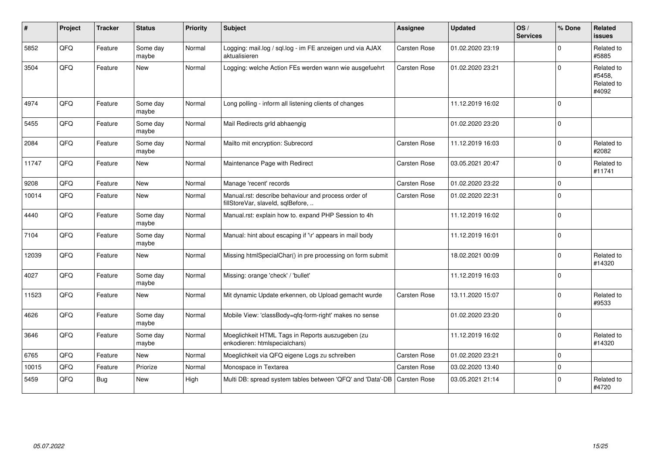| $\#$  | Project | <b>Tracker</b> | <b>Status</b>     | <b>Priority</b> | <b>Subject</b>                                                                           | <b>Assignee</b>     | <b>Updated</b>   | OS/<br><b>Services</b> | % Done       | Related<br><b>issues</b>                    |
|-------|---------|----------------|-------------------|-----------------|------------------------------------------------------------------------------------------|---------------------|------------------|------------------------|--------------|---------------------------------------------|
| 5852  | QFQ     | Feature        | Some day<br>maybe | Normal          | Logging: mail.log / sql.log - im FE anzeigen und via AJAX<br>aktualisieren               | Carsten Rose        | 01.02.2020 23:19 |                        | <sup>0</sup> | Related to<br>#5885                         |
| 3504  | QFQ     | Feature        | <b>New</b>        | Normal          | Logging: welche Action FEs werden wann wie ausgefuehrt                                   | Carsten Rose        | 01.02.2020 23:21 |                        | $\Omega$     | Related to<br>#5458,<br>Related to<br>#4092 |
| 4974  | QFQ     | Feature        | Some day<br>maybe | Normal          | Long polling - inform all listening clients of changes                                   |                     | 11.12.2019 16:02 |                        | $\mathbf 0$  |                                             |
| 5455  | QFQ     | Feature        | Some day<br>maybe | Normal          | Mail Redirects grld abhaengig                                                            |                     | 01.02.2020 23:20 |                        | $\mathbf 0$  |                                             |
| 2084  | QFQ     | Feature        | Some day<br>maybe | Normal          | Mailto mit encryption: Subrecord                                                         | <b>Carsten Rose</b> | 11.12.2019 16:03 |                        | $\Omega$     | Related to<br>#2082                         |
| 11747 | QFQ     | Feature        | New               | Normal          | Maintenance Page with Redirect                                                           | <b>Carsten Rose</b> | 03.05.2021 20:47 |                        | 0            | Related to<br>#11741                        |
| 9208  | QFQ     | Feature        | <b>New</b>        | Normal          | Manage 'recent' records                                                                  | <b>Carsten Rose</b> | 01.02.2020 23:22 |                        | $\mathbf 0$  |                                             |
| 10014 | QFQ     | Feature        | <b>New</b>        | Normal          | Manual.rst: describe behaviour and process order of<br>fillStoreVar, slaveId, sqlBefore, | Carsten Rose        | 01.02.2020 22:31 |                        | $\Omega$     |                                             |
| 4440  | QFQ     | Feature        | Some day<br>maybe | Normal          | Manual.rst: explain how to. expand PHP Session to 4h                                     |                     | 11.12.2019 16:02 |                        | $\Omega$     |                                             |
| 7104  | QFQ     | Feature        | Some day<br>maybe | Normal          | Manual: hint about escaping if '\r' appears in mail body                                 |                     | 11.12.2019 16:01 |                        | $\Omega$     |                                             |
| 12039 | QFQ     | Feature        | <b>New</b>        | Normal          | Missing htmlSpecialChar() in pre processing on form submit                               |                     | 18.02.2021 00:09 |                        | $\Omega$     | Related to<br>#14320                        |
| 4027  | QFQ     | Feature        | Some day<br>maybe | Normal          | Missing: orange 'check' / 'bullet'                                                       |                     | 11.12.2019 16:03 |                        | $\Omega$     |                                             |
| 11523 | QFQ     | Feature        | New               | Normal          | Mit dynamic Update erkennen, ob Upload gemacht wurde                                     | Carsten Rose        | 13.11.2020 15:07 |                        | $\Omega$     | Related to<br>#9533                         |
| 4626  | QFQ     | Feature        | Some day<br>maybe | Normal          | Mobile View: 'classBody=qfq-form-right' makes no sense                                   |                     | 01.02.2020 23:20 |                        | $\Omega$     |                                             |
| 3646  | QFQ     | Feature        | Some day<br>maybe | Normal          | Moeglichkeit HTML Tags in Reports auszugeben (zu<br>enkodieren: htmlspecialchars)        |                     | 11.12.2019 16:02 |                        | $\Omega$     | Related to<br>#14320                        |
| 6765  | QFQ     | Feature        | New               | Normal          | Moeglichkeit via QFQ eigene Logs zu schreiben                                            | Carsten Rose        | 01.02.2020 23:21 |                        | 0            |                                             |
| 10015 | QFQ     | Feature        | Priorize          | Normal          | Monospace in Textarea                                                                    | <b>Carsten Rose</b> | 03.02.2020 13:40 |                        | $\Omega$     |                                             |
| 5459  | QFQ     | Bug            | New               | High            | Multi DB: spread system tables between 'QFQ' and 'Data'-DB                               | <b>Carsten Rose</b> | 03.05.2021 21:14 |                        | 0            | Related to<br>#4720                         |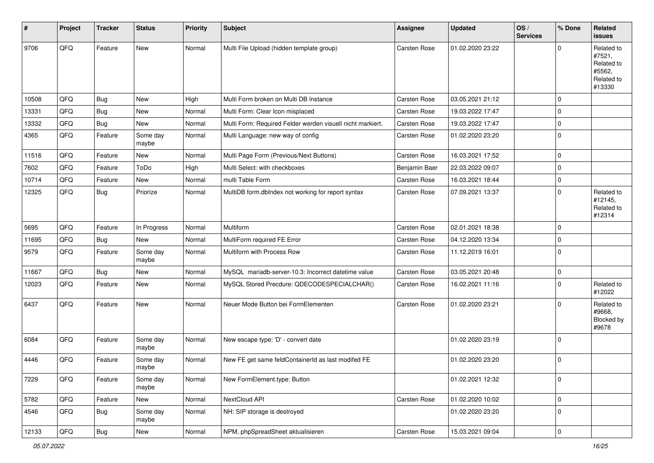| $\sharp$ | Project | <b>Tracker</b> | <b>Status</b>     | <b>Priority</b> | <b>Subject</b>                                             | <b>Assignee</b>     | <b>Updated</b>   | OS/<br><b>Services</b> | % Done      | Related<br><b>issues</b>                                             |
|----------|---------|----------------|-------------------|-----------------|------------------------------------------------------------|---------------------|------------------|------------------------|-------------|----------------------------------------------------------------------|
| 9706     | QFQ     | Feature        | New               | Normal          | Multi File Upload (hidden template group)                  | Carsten Rose        | 01.02.2020 23:22 |                        | 0           | Related to<br>#7521,<br>Related to<br>#5562,<br>Related to<br>#13330 |
| 10508    | QFQ     | <b>Bug</b>     | New               | High            | Multi Form broken on Multi DB Instance                     | <b>Carsten Rose</b> | 03.05.2021 21:12 |                        | 0           |                                                                      |
| 13331    | QFQ     | Bug            | New               | Normal          | Multi Form: Clear Icon misplaced                           | Carsten Rose        | 19.03.2022 17:47 |                        | 0           |                                                                      |
| 13332    | QFQ     | <b>Bug</b>     | New               | Normal          | Multi Form: Required Felder werden visuell nicht markiert. | <b>Carsten Rose</b> | 19.03.2022 17:47 |                        | 0           |                                                                      |
| 4365     | QFQ     | Feature        | Some day<br>maybe | Normal          | Multi Language: new way of config                          | Carsten Rose        | 01.02.2020 23:20 |                        | 0           |                                                                      |
| 11516    | QFQ     | Feature        | New               | Normal          | Multi Page Form (Previous/Next Buttons)                    | <b>Carsten Rose</b> | 16.03.2021 17:52 |                        | $\mathbf 0$ |                                                                      |
| 7602     | QFQ     | Feature        | ToDo              | High            | Multi Select: with checkboxes                              | Benjamin Baer       | 22.03.2022 09:07 |                        | $\Omega$    |                                                                      |
| 10714    | QFQ     | Feature        | New               | Normal          | multi Table Form                                           | Carsten Rose        | 16.03.2021 18:44 |                        | $\mathbf 0$ |                                                                      |
| 12325    | QFQ     | <b>Bug</b>     | Priorize          | Normal          | MultiDB form.dblndex not working for report syntax         | <b>Carsten Rose</b> | 07.09.2021 13:37 |                        | $\Omega$    | Related to<br>#12145,<br>Related to<br>#12314                        |
| 5695     | QFQ     | Feature        | In Progress       | Normal          | Multiform                                                  | Carsten Rose        | 02.01.2021 18:38 |                        | 0           |                                                                      |
| 11695    | QFQ     | Bug            | New               | Normal          | MultiForm required FE Error                                | <b>Carsten Rose</b> | 04.12.2020 13:34 |                        | 0           |                                                                      |
| 9579     | QFQ     | Feature        | Some day<br>maybe | Normal          | Multiform with Process Row                                 | Carsten Rose        | 11.12.2019 16:01 |                        | $\Omega$    |                                                                      |
| 11667    | QFQ     | Bug            | <b>New</b>        | Normal          | MySQL mariadb-server-10.3: Incorrect datetime value        | Carsten Rose        | 03.05.2021 20:48 |                        | $\mathbf 0$ |                                                                      |
| 12023    | QFQ     | Feature        | New               | Normal          | MySQL Stored Precdure: QDECODESPECIALCHAR()                | <b>Carsten Rose</b> | 16.02.2021 11:16 |                        | $\Omega$    | Related to<br>#12022                                                 |
| 6437     | QFQ     | Feature        | New               | Normal          | Neuer Mode Button bei FormElementen                        | <b>Carsten Rose</b> | 01.02.2020 23:21 |                        | $\Omega$    | Related to<br>#9668,<br>Blocked by<br>#9678                          |
| 6084     | QFQ     | Feature        | Some day<br>maybe | Normal          | New escape type: 'D' - convert date                        |                     | 01.02.2020 23:19 |                        | $\Omega$    |                                                                      |
| 4446     | QFQ     | Feature        | Some day<br>maybe | Normal          | New FE get same feldContainerId as last modifed FE         |                     | 01.02.2020 23:20 |                        | $\mathbf 0$ |                                                                      |
| 7229     | QFQ     | Feature        | Some day<br>maybe | Normal          | New FormElement.type: Button                               |                     | 01.02.2021 12:32 |                        | 0           |                                                                      |
| 5782     | QFQ     | Feature        | New               | Normal          | NextCloud API                                              | Carsten Rose        | 01.02.2020 10:02 |                        | 0           |                                                                      |
| 4546     | QFQ     | <b>Bug</b>     | Some day<br>maybe | Normal          | NH: SIP storage is destroyed                               |                     | 01.02.2020 23:20 |                        | $\mathbf 0$ |                                                                      |
| 12133    | QFQ     | Bug            | New               | Normal          | NPM, phpSpreadSheet aktualisieren                          | Carsten Rose        | 15.03.2021 09:04 |                        | $\mathbf 0$ |                                                                      |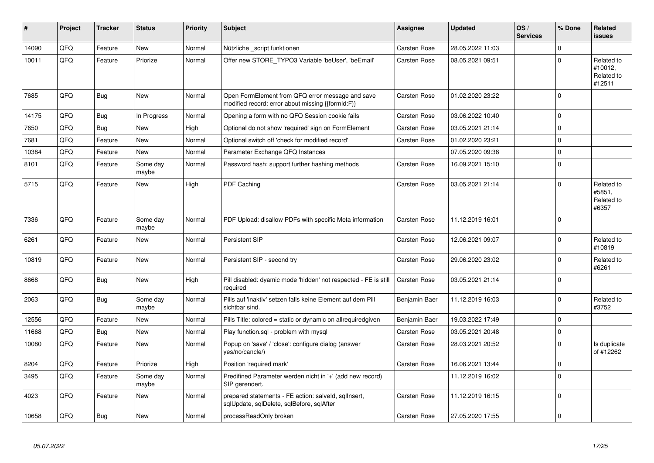| ∦     | Project | <b>Tracker</b> | <b>Status</b>     | <b>Priority</b> | <b>Subject</b>                                                                                        | <b>Assignee</b>     | Updated          | OS/<br><b>Services</b> | % Done         | Related<br>issues                             |
|-------|---------|----------------|-------------------|-----------------|-------------------------------------------------------------------------------------------------------|---------------------|------------------|------------------------|----------------|-----------------------------------------------|
| 14090 | QFQ     | Feature        | <b>New</b>        | Normal          | Nützliche _script funktionen                                                                          | <b>Carsten Rose</b> | 28.05.2022 11:03 |                        | $\Omega$       |                                               |
| 10011 | QFQ     | Feature        | Priorize          | Normal          | Offer new STORE TYPO3 Variable 'beUser', 'beEmail'                                                    | <b>Carsten Rose</b> | 08.05.2021 09:51 |                        | $\Omega$       | Related to<br>#10012,<br>Related to<br>#12511 |
| 7685  | QFQ     | Bug            | <b>New</b>        | Normal          | Open FormElement from QFQ error message and save<br>modified record: error about missing {{formId:F}} | <b>Carsten Rose</b> | 01.02.2020 23:22 |                        | $\mathbf{0}$   |                                               |
| 14175 | QFQ     | Bug            | In Progress       | Normal          | Opening a form with no QFQ Session cookie fails                                                       | <b>Carsten Rose</b> | 03.06.2022 10:40 |                        | $\mathbf 0$    |                                               |
| 7650  | QFQ     | Bug            | New               | High            | Optional do not show 'required' sign on FormElement                                                   | <b>Carsten Rose</b> | 03.05.2021 21:14 |                        | $\mathbf{0}$   |                                               |
| 7681  | QFQ     | Feature        | <b>New</b>        | Normal          | Optional switch off 'check for modified record'                                                       | <b>Carsten Rose</b> | 01.02.2020 23:21 |                        | $\Omega$       |                                               |
| 10384 | QFQ     | Feature        | <b>New</b>        | Normal          | Parameter Exchange QFQ Instances                                                                      |                     | 07.05.2020 09:38 |                        | $\Omega$       |                                               |
| 8101  | QFQ     | Feature        | Some day<br>maybe | Normal          | Password hash: support further hashing methods                                                        | <b>Carsten Rose</b> | 16.09.2021 15:10 |                        | $\Omega$       |                                               |
| 5715  | QFQ     | Feature        | <b>New</b>        | High            | PDF Caching                                                                                           | <b>Carsten Rose</b> | 03.05.2021 21:14 |                        | $\Omega$       | Related to<br>#5851.<br>Related to<br>#6357   |
| 7336  | QFQ     | Feature        | Some day<br>maybe | Normal          | PDF Upload: disallow PDFs with specific Meta information                                              | <b>Carsten Rose</b> | 11.12.2019 16:01 |                        | $\Omega$       |                                               |
| 6261  | QFQ     | Feature        | <b>New</b>        | Normal          | Persistent SIP                                                                                        | <b>Carsten Rose</b> | 12.06.2021 09:07 |                        | $\Omega$       | Related to<br>#10819                          |
| 10819 | QFQ     | Feature        | New               | Normal          | Persistent SIP - second try                                                                           | <b>Carsten Rose</b> | 29.06.2020 23:02 |                        | $\Omega$       | Related to<br>#6261                           |
| 8668  | QFQ     | <b>Bug</b>     | <b>New</b>        | High            | Pill disabled: dyamic mode 'hidden' not respected - FE is still<br>required                           | <b>Carsten Rose</b> | 03.05.2021 21:14 |                        | $\Omega$       |                                               |
| 2063  | QFQ     | <b>Bug</b>     | Some day<br>maybe | Normal          | Pills auf 'inaktiv' setzen falls keine Element auf dem Pill<br>sichtbar sind.                         | Benjamin Baer       | 11.12.2019 16:03 |                        | $\mathbf{0}$   | Related to<br>#3752                           |
| 12556 | QFQ     | Feature        | <b>New</b>        | Normal          | Pills Title: colored = static or dynamic on allrequiredgiven                                          | Benjamin Baer       | 19.03.2022 17:49 |                        | $\Omega$       |                                               |
| 11668 | QFQ     | Bug            | <b>New</b>        | Normal          | Play function.sql - problem with mysql                                                                | <b>Carsten Rose</b> | 03.05.2021 20:48 |                        | $\mathbf{0}$   |                                               |
| 10080 | QFQ     | Feature        | New               | Normal          | Popup on 'save' / 'close': configure dialog (answer<br>yes/no/cancle/)                                | <b>Carsten Rose</b> | 28.03.2021 20:52 |                        | $\Omega$       | Is duplicate<br>of #12262                     |
| 8204  | QFQ     | Feature        | Priorize          | High            | Position 'required mark'                                                                              | <b>Carsten Rose</b> | 16.06.2021 13:44 |                        | $\Omega$       |                                               |
| 3495  | QFQ     | Feature        | Some day<br>maybe | Normal          | Predifined Parameter werden nicht in '+' (add new record)<br>SIP gerendert.                           |                     | 11.12.2019 16:02 |                        | $\Omega$       |                                               |
| 4023  | QFQ     | Feature        | <b>New</b>        | Normal          | prepared statements - FE action: salveld, sqllnsert,<br>sqlUpdate, sqlDelete, sqlBefore, sqlAfter     | <b>Carsten Rose</b> | 11.12.2019 16:15 |                        | $\overline{0}$ |                                               |
| 10658 | QFQ     | Bug            | <b>New</b>        | Normal          | processReadOnly broken                                                                                | <b>Carsten Rose</b> | 27.05.2020 17:55 |                        | $\Omega$       |                                               |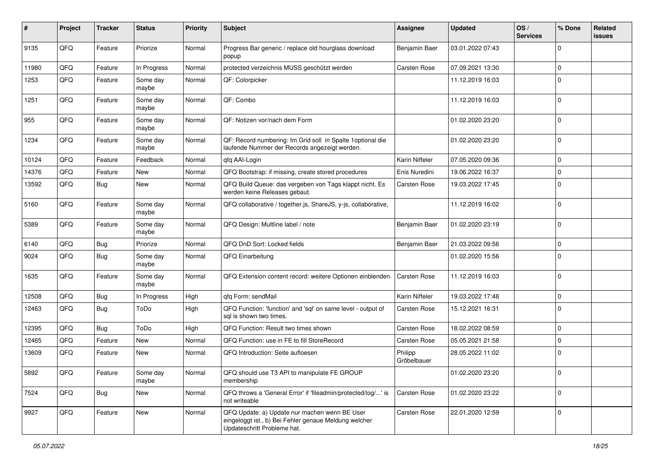| #     | Project | <b>Tracker</b> | <b>Status</b>     | <b>Priority</b> | <b>Subject</b>                                                                                                                        | <b>Assignee</b>        | <b>Updated</b>   | OS/<br><b>Services</b> | % Done       | Related<br>issues |
|-------|---------|----------------|-------------------|-----------------|---------------------------------------------------------------------------------------------------------------------------------------|------------------------|------------------|------------------------|--------------|-------------------|
| 9135  | QFQ     | Feature        | Priorize          | Normal          | Progress Bar generic / replace old hourglass download<br>popup                                                                        | Benjamin Baer          | 03.01.2022 07:43 |                        | $\mathbf 0$  |                   |
| 11980 | QFQ     | Feature        | In Progress       | Normal          | protected verzeichnis MUSS geschützt werden                                                                                           | <b>Carsten Rose</b>    | 07.09.2021 13:30 |                        | 0            |                   |
| 1253  | QFQ     | Feature        | Some day<br>maybe | Normal          | QF: Colorpicker                                                                                                                       |                        | 11.12.2019 16:03 |                        | $\mathbf 0$  |                   |
| 1251  | QFQ     | Feature        | Some day<br>maybe | Normal          | QF: Combo                                                                                                                             |                        | 11.12.2019 16:03 |                        | $\mathbf 0$  |                   |
| 955   | QFQ     | Feature        | Some day<br>maybe | Normal          | QF: Notizen vor/nach dem Form                                                                                                         |                        | 01.02.2020 23:20 |                        | $\mathbf 0$  |                   |
| 1234  | QFQ     | Feature        | Some day<br>maybe | Normal          | QF: Record numbering: Im Grid soll in Spalte 1 optional die<br>laufende Nummer der Records angezeigt werden.                          |                        | 01.02.2020 23:20 |                        | $\mathbf{0}$ |                   |
| 10124 | QFQ     | Feature        | Feedback          | Normal          | qfq AAI-Login                                                                                                                         | Karin Niffeler         | 07.05.2020 09:36 |                        | 0            |                   |
| 14376 | QFQ     | Feature        | New               | Normal          | QFQ Bootstrap: if missing, create stored procedures                                                                                   | Enis Nuredini          | 19.06.2022 16:37 |                        | 0            |                   |
| 13592 | QFQ     | <b>Bug</b>     | New               | Normal          | QFQ Build Queue: das vergeben von Tags klappt nicht. Es<br>werden keine Releases gebaut.                                              | <b>Carsten Rose</b>    | 19.03.2022 17:45 |                        | $\mathbf 0$  |                   |
| 5160  | QFQ     | Feature        | Some day<br>maybe | Normal          | QFQ collaborative / together.js, ShareJS, y-js, collaborative,                                                                        |                        | 11.12.2019 16:02 |                        | $\mathbf 0$  |                   |
| 5389  | QFQ     | Feature        | Some day<br>maybe | Normal          | QFQ Design: Multline label / note                                                                                                     | Benjamin Baer          | 01.02.2020 23:19 |                        | $\mathbf 0$  |                   |
| 6140  | QFQ     | Bug            | Priorize          | Normal          | QFQ DnD Sort: Locked fields                                                                                                           | Benjamin Baer          | 21.03.2022 09:56 |                        | 0            |                   |
| 9024  | QFQ     | Bug            | Some day<br>maybe | Normal          | QFQ Einarbeitung                                                                                                                      |                        | 01.02.2020 15:56 |                        | $\mathbf 0$  |                   |
| 1635  | QFQ     | Feature        | Some day<br>maybe | Normal          | QFQ Extension content record: weitere Optionen einblenden.                                                                            | <b>Carsten Rose</b>    | 11.12.2019 16:03 |                        | $\mathbf 0$  |                   |
| 12508 | QFQ     | Bug            | In Progress       | High            | qfq Form: sendMail                                                                                                                    | Karin Niffeler         | 19.03.2022 17:48 |                        | $\mathbf{0}$ |                   |
| 12463 | QFQ     | Bug            | ToDo              | High            | QFQ Function: 'function' and 'sql' on same level - output of<br>sql is shown two times.                                               | <b>Carsten Rose</b>    | 15.12.2021 16:31 |                        | $\mathbf 0$  |                   |
| 12395 | QFQ     | Bug            | ToDo              | High            | QFQ Function: Result two times shown                                                                                                  | <b>Carsten Rose</b>    | 18.02.2022 08:59 |                        | $\mathbf 0$  |                   |
| 12465 | QFQ     | Feature        | <b>New</b>        | Normal          | QFQ Function: use in FE to fill StoreRecord                                                                                           | Carsten Rose           | 05.05.2021 21:58 |                        | 0            |                   |
| 13609 | QFQ     | Feature        | New               | Normal          | QFQ Introduction: Seite aufloesen                                                                                                     | Philipp<br>Gröbelbauer | 28.05.2022 11:02 |                        | $\mathbf 0$  |                   |
| 5892  | QFQ     | Feature        | Some day<br>maybe | Normal          | QFQ should use T3 API to manipulate FE GROUP<br>membership                                                                            |                        | 01.02.2020 23:20 |                        | 0            |                   |
| 7524  | QFQ     | Bug            | New               | Normal          | QFQ throws a 'General Error' if 'fileadmin/protected/log/' is<br>not writeable                                                        | <b>Carsten Rose</b>    | 01.02.2020 23:22 |                        | $\mathbf 0$  |                   |
| 9927  | QFQ     | Feature        | New               | Normal          | QFQ Update: a) Update nur machen wenn BE User<br>eingeloggt ist., b) Bei Fehler genaue Meldung welcher<br>Updateschritt Probleme hat. | Carsten Rose           | 22.01.2020 12:59 |                        | 0            |                   |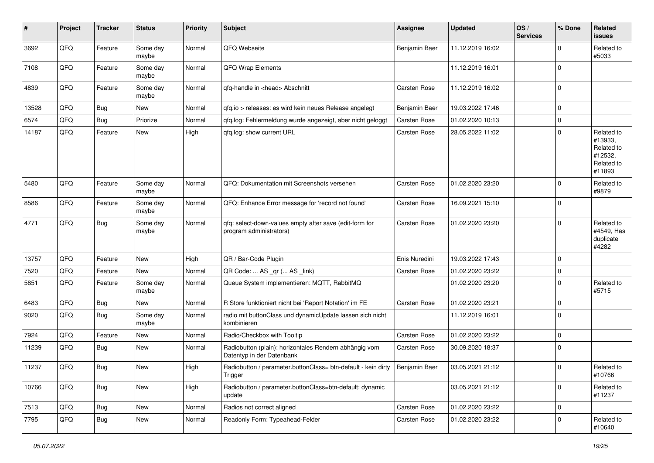| #     | Project | <b>Tracker</b> | <b>Status</b>     | <b>Priority</b> | <b>Subject</b>                                                                           | <b>Assignee</b>     | <b>Updated</b>   | OS/<br><b>Services</b> | % Done       | Related<br>issues                                                      |
|-------|---------|----------------|-------------------|-----------------|------------------------------------------------------------------------------------------|---------------------|------------------|------------------------|--------------|------------------------------------------------------------------------|
| 3692  | QFQ     | Feature        | Some day<br>maybe | Normal          | QFQ Webseite                                                                             | Benjamin Baer       | 11.12.2019 16:02 |                        | <sup>0</sup> | Related to<br>#5033                                                    |
| 7108  | QFQ     | Feature        | Some day<br>maybe | Normal          | QFQ Wrap Elements                                                                        |                     | 11.12.2019 16:01 |                        | 0            |                                                                        |
| 4839  | QFQ     | Feature        | Some day<br>maybe | Normal          | qfq-handle in <head> Abschnitt</head>                                                    | <b>Carsten Rose</b> | 11.12.2019 16:02 |                        | 0            |                                                                        |
| 13528 | QFQ     | Bug            | New               | Normal          | qfq.io > releases: es wird kein neues Release angelegt                                   | Benjamin Baer       | 19.03.2022 17:46 |                        | $\mathbf 0$  |                                                                        |
| 6574  | QFQ     | Bug            | Priorize          | Normal          | qfq.log: Fehlermeldung wurde angezeigt, aber nicht geloggt                               | Carsten Rose        | 01.02.2020 10:13 |                        | 0            |                                                                        |
| 14187 | QFQ     | Feature        | New               | High            | qfq.log: show current URL                                                                | <b>Carsten Rose</b> | 28.05.2022 11:02 |                        | 0            | Related to<br>#13933,<br>Related to<br>#12532,<br>Related to<br>#11893 |
| 5480  | QFQ     | Feature        | Some day<br>maybe | Normal          | QFQ: Dokumentation mit Screenshots versehen                                              | <b>Carsten Rose</b> | 01.02.2020 23:20 |                        | 0            | Related to<br>#9879                                                    |
| 8586  | QFQ     | Feature        | Some day<br>maybe | Normal          | QFQ: Enhance Error message for 'record not found'                                        | <b>Carsten Rose</b> | 16.09.2021 15:10 |                        | $\mathbf 0$  |                                                                        |
| 4771  | QFQ     | Bug            | Some day<br>maybe | Normal          | qfq: select-down-values empty after save (edit-form for<br>program administrators)       | <b>Carsten Rose</b> | 01.02.2020 23:20 |                        | 0            | Related to<br>#4549, Has<br>duplicate<br>#4282                         |
| 13757 | QFQ     | Feature        | <b>New</b>        | High            | QR / Bar-Code Plugin                                                                     | Enis Nuredini       | 19.03.2022 17:43 |                        | $\Omega$     |                                                                        |
| 7520  | QFQ     | Feature        | New               | Normal          | QR Code:  AS _qr ( AS _link)                                                             | <b>Carsten Rose</b> | 01.02.2020 23:22 |                        | $\mathbf 0$  |                                                                        |
| 5851  | QFQ     | Feature        | Some day<br>maybe | Normal          | Queue System implementieren: MQTT, RabbitMQ                                              |                     | 01.02.2020 23:20 |                        | 0            | Related to<br>#5715                                                    |
| 6483  | QFQ     | Bug            | New               | Normal          | R Store funktioniert nicht bei 'Report Notation' im FE                                   | Carsten Rose        | 01.02.2020 23:21 |                        | $\mathbf 0$  |                                                                        |
| 9020  | QFQ     | <b>Bug</b>     | Some day<br>maybe | Normal          | radio mit buttonClass und dynamicUpdate lassen sich nicht<br>kombinieren                 |                     | 11.12.2019 16:01 |                        | $\mathbf 0$  |                                                                        |
| 7924  | QFQ     | Feature        | New               | Normal          | Radio/Checkbox with Tooltip                                                              | <b>Carsten Rose</b> | 01.02.2020 23:22 |                        | 0            |                                                                        |
| 11239 | QFQ     | Bug            | New               | Normal          | Radiobutton (plain): horizontales Rendern abhängig vom<br>Datentyp in der Datenbank      | Carsten Rose        | 30.09.2020 18:37 |                        | $\mathbf 0$  |                                                                        |
| 11237 | QFQ     | Bug            | New               | High            | Radiobutton / parameter.buttonClass= btn-default - kein dirty   Benjamin Baer<br>Trigger |                     | 03.05.2021 21:12 |                        | $\Omega$     | Related to<br>#10766                                                   |
| 10766 | QFQ     | <b>Bug</b>     | New               | High            | Radiobutton / parameter.buttonClass=btn-default: dynamic<br>update                       |                     | 03.05.2021 21:12 |                        | $\mathbf 0$  | Related to<br>#11237                                                   |
| 7513  | QFQ     | Bug            | New               | Normal          | Radios not correct aligned                                                               | Carsten Rose        | 01.02.2020 23:22 |                        | $\mathbf 0$  |                                                                        |
| 7795  | QFQ     | <b>Bug</b>     | New               | Normal          | Readonly Form: Typeahead-Felder                                                          | Carsten Rose        | 01.02.2020 23:22 |                        | 0            | Related to<br>#10640                                                   |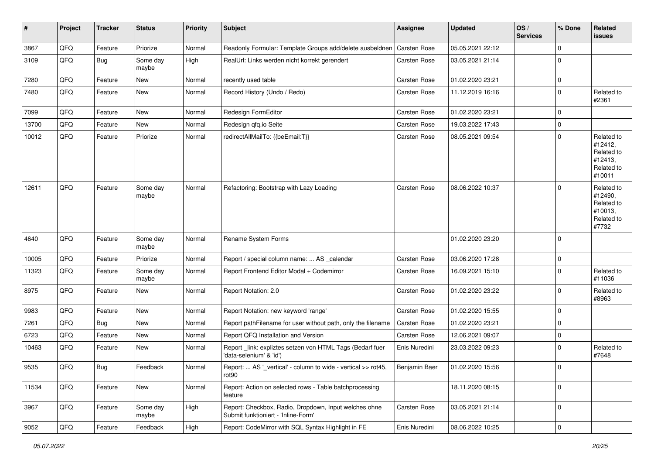| #     | Project | <b>Tracker</b> | <b>Status</b>     | <b>Priority</b> | <b>Subject</b>                                                                               | <b>Assignee</b>     | <b>Updated</b>   | OS/<br><b>Services</b> | % Done       | Related<br>issues                                                      |
|-------|---------|----------------|-------------------|-----------------|----------------------------------------------------------------------------------------------|---------------------|------------------|------------------------|--------------|------------------------------------------------------------------------|
| 3867  | QFQ     | Feature        | Priorize          | Normal          | Readonly Formular: Template Groups add/delete ausbeldnen                                     | <b>Carsten Rose</b> | 05.05.2021 22:12 |                        | 0            |                                                                        |
| 3109  | QFQ     | Bug            | Some day<br>maybe | High            | RealUrl: Links werden nicht korrekt gerendert                                                | <b>Carsten Rose</b> | 03.05.2021 21:14 |                        | 0            |                                                                        |
| 7280  | QFQ     | Feature        | New               | Normal          | recently used table                                                                          | <b>Carsten Rose</b> | 01.02.2020 23:21 |                        | 0            |                                                                        |
| 7480  | QFQ     | Feature        | New               | Normal          | Record History (Undo / Redo)                                                                 | Carsten Rose        | 11.12.2019 16:16 |                        | 0            | Related to<br>#2361                                                    |
| 7099  | QFQ     | Feature        | New               | Normal          | Redesign FormEditor                                                                          | <b>Carsten Rose</b> | 01.02.2020 23:21 |                        | $\mathbf 0$  |                                                                        |
| 13700 | QFQ     | Feature        | New               | Normal          | Redesign qfq.io Seite                                                                        | Carsten Rose        | 19.03.2022 17:43 |                        | 0            |                                                                        |
| 10012 | QFQ     | Feature        | Priorize          | Normal          | redirectAllMailTo: {{beEmail:T}}                                                             | <b>Carsten Rose</b> | 08.05.2021 09:54 |                        | 0            | Related to<br>#12412,<br>Related to<br>#12413,<br>Related to<br>#10011 |
| 12611 | QFQ     | Feature        | Some day<br>maybe | Normal          | Refactoring: Bootstrap with Lazy Loading                                                     | <b>Carsten Rose</b> | 08.06.2022 10:37 |                        | 0            | Related to<br>#12490,<br>Related to<br>#10013,<br>Related to<br>#7732  |
| 4640  | QFQ     | Feature        | Some day<br>maybe | Normal          | Rename System Forms                                                                          |                     | 01.02.2020 23:20 |                        | $\Omega$     |                                                                        |
| 10005 | QFQ     | Feature        | Priorize          | Normal          | Report / special column name:  AS _calendar                                                  | <b>Carsten Rose</b> | 03.06.2020 17:28 |                        | $\mathbf 0$  |                                                                        |
| 11323 | QFQ     | Feature        | Some day<br>maybe | Normal          | Report Frontend Editor Modal + Codemirror                                                    | Carsten Rose        | 16.09.2021 15:10 |                        | $\Omega$     | Related to<br>#11036                                                   |
| 8975  | QFQ     | Feature        | New               | Normal          | Report Notation: 2.0                                                                         | <b>Carsten Rose</b> | 01.02.2020 23:22 |                        | 0            | Related to<br>#8963                                                    |
| 9983  | QFQ     | Feature        | New               | Normal          | Report Notation: new keyword 'range'                                                         | <b>Carsten Rose</b> | 01.02.2020 15:55 |                        | 0            |                                                                        |
| 7261  | QFQ     | Bug            | New               | Normal          | Report pathFilename for user without path, only the filename                                 | Carsten Rose        | 01.02.2020 23:21 |                        | 0            |                                                                        |
| 6723  | QFQ     | Feature        | New               | Normal          | Report QFQ Installation and Version                                                          | <b>Carsten Rose</b> | 12.06.2021 09:07 |                        | 0            |                                                                        |
| 10463 | QFQ     | Feature        | New               | Normal          | Report_link: expliztes setzen von HTML Tags (Bedarf fuer<br>'data-selenium' & 'id')          | Enis Nuredini       | 23.03.2022 09:23 |                        | $\Omega$     | Related to<br>#7648                                                    |
| 9535  | QFQ     | Bug            | Feedback          | Normal          | Report:  AS '_vertical' - column to wide - vertical >> rot45,<br>rot90                       | Benjamin Baer       | 01.02.2020 15:56 |                        | $\Omega$     |                                                                        |
| 11534 | QFQ     | Feature        | New               | Normal          | Report: Action on selected rows - Table batchprocessing<br>feature                           |                     | 18.11.2020 08:15 |                        | $\mathbf{0}$ |                                                                        |
| 3967  | QFQ     | Feature        | Some day<br>maybe | High            | Report: Checkbox, Radio, Dropdown, Input welches ohne<br>Submit funktioniert - 'Inline-Form' | <b>Carsten Rose</b> | 03.05.2021 21:14 |                        | 0            |                                                                        |
| 9052  | QFQ     | Feature        | Feedback          | High            | Report: CodeMirror with SQL Syntax Highlight in FE                                           | Enis Nuredini       | 08.06.2022 10:25 |                        | 0            |                                                                        |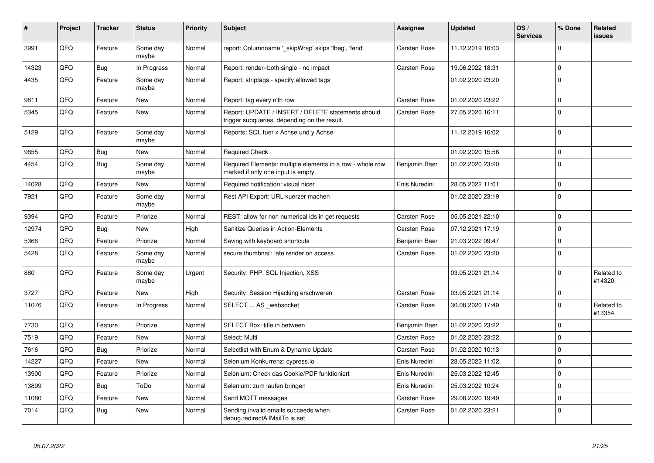| #     | Project | <b>Tracker</b> | <b>Status</b>     | <b>Priority</b> | <b>Subject</b>                                                                                     | <b>Assignee</b>     | Updated          | OS/<br><b>Services</b> | % Done         | Related<br><b>issues</b> |
|-------|---------|----------------|-------------------|-----------------|----------------------------------------------------------------------------------------------------|---------------------|------------------|------------------------|----------------|--------------------------|
| 3991  | QFQ     | Feature        | Some day<br>maybe | Normal          | report: Columnname '_skipWrap' skips 'fbeg', 'fend'                                                | <b>Carsten Rose</b> | 11.12.2019 16:03 |                        | $\Omega$       |                          |
| 14323 | QFQ     | <b>Bug</b>     | In Progress       | Normal          | Report: render=both single - no impact                                                             | <b>Carsten Rose</b> | 19.06.2022 18:31 |                        | $\mathbf{0}$   |                          |
| 4435  | QFQ     | Feature        | Some day<br>maybe | Normal          | Report: striptags - specify allowed tags                                                           |                     | 01.02.2020 23:20 |                        | $\Omega$       |                          |
| 9811  | QFQ     | Feature        | <b>New</b>        | Normal          | Report: tag every n'th row                                                                         | <b>Carsten Rose</b> | 01.02.2020 23:22 |                        | $\Omega$       |                          |
| 5345  | QFQ     | Feature        | <b>New</b>        | Normal          | Report: UPDATE / INSERT / DELETE statements should<br>trigger subqueries, depending on the result. | Carsten Rose        | 27.05.2020 16:11 |                        | $\Omega$       |                          |
| 5129  | QFQ     | Feature        | Some day<br>maybe | Normal          | Reports: SQL fuer x Achse und y Achse                                                              |                     | 11.12.2019 16:02 |                        | $\Omega$       |                          |
| 9855  | QFQ     | <b>Bug</b>     | New               | Normal          | <b>Required Check</b>                                                                              |                     | 01.02.2020 15:56 |                        | $\mathbf{0}$   |                          |
| 4454  | QFQ     | Bug            | Some day<br>maybe | Normal          | Required Elements: multiple elements in a row - whole row<br>marked if only one input is empty.    | Benjamin Baer       | 01.02.2020 23:20 |                        | $\Omega$       |                          |
| 14028 | QFQ     | Feature        | New               | Normal          | Required notification: visual nicer                                                                | Enis Nuredini       | 28.05.2022 11:01 |                        | $\mathbf{0}$   |                          |
| 7921  | QFQ     | Feature        | Some day<br>maybe | Normal          | Rest API Export: URL kuerzer machen                                                                |                     | 01.02.2020 23:19 |                        | $\Omega$       |                          |
| 9394  | QFQ     | Feature        | Priorize          | Normal          | REST: allow for non numerical ids in get requests                                                  | <b>Carsten Rose</b> | 05.05.2021 22:10 |                        | $\Omega$       |                          |
| 12974 | QFQ     | Bug            | New               | High            | <b>Sanitize Queries in Action-Elements</b>                                                         | <b>Carsten Rose</b> | 07.12.2021 17:19 |                        | $\Omega$       |                          |
| 5366  | QFQ     | Feature        | Priorize          | Normal          | Saving with keyboard shortcuts                                                                     | Benjamin Baer       | 21.03.2022 09:47 |                        | $\Omega$       |                          |
| 5428  | QFQ     | Feature        | Some day<br>maybe | Normal          | secure thumbnail: late render on access.                                                           | <b>Carsten Rose</b> | 01.02.2020 23:20 |                        | $\Omega$       |                          |
| 880   | QFQ     | Feature        | Some day<br>maybe | Urgent          | Security: PHP, SQL Injection, XSS                                                                  |                     | 03.05.2021 21:14 |                        | $\Omega$       | Related to<br>#14320     |
| 3727  | QFQ     | Feature        | <b>New</b>        | High            | Security: Session Hijacking erschweren                                                             | <b>Carsten Rose</b> | 03.05.2021 21:14 |                        | $\mathbf 0$    |                          |
| 11076 | QFQ     | Feature        | In Progress       | Normal          | SELECT  AS _websocket                                                                              | <b>Carsten Rose</b> | 30.08.2020 17:49 |                        | $\Omega$       | Related to<br>#13354     |
| 7730  | QFQ     | Feature        | Priorize          | Normal          | <b>SELECT Box: title in between</b>                                                                | Benjamin Baer       | 01.02.2020 23:22 |                        | $\mathbf{0}$   |                          |
| 7519  | QFQ     | Feature        | <b>New</b>        | Normal          | Select: Multi                                                                                      | <b>Carsten Rose</b> | 01.02.2020 23:22 |                        | $\Omega$       |                          |
| 7616  | QFQ     | <b>Bug</b>     | Priorize          | Normal          | Selectlist with Enum & Dynamic Update                                                              | <b>Carsten Rose</b> | 01.02.2020 10:13 |                        | $\mathbf 0$    |                          |
| 14227 | QFQ     | Feature        | <b>New</b>        | Normal          | Selenium Konkurrenz: cypress.io                                                                    | Enis Nuredini       | 28.05.2022 11:02 |                        | $\overline{0}$ |                          |
| 13900 | QFQ     | Feature        | Priorize          | Normal          | Selenium: Check das Cookie/PDF funktioniert                                                        | Enis Nuredini       | 25.03.2022 12:45 |                        | $\mathbf 0$    |                          |
| 13899 | QFQ     | <b>Bug</b>     | ToDo              | Normal          | Selenium: zum laufen bringen                                                                       | Enis Nuredini       | 25.03.2022 10:24 |                        | $\Omega$       |                          |
| 11080 | QFQ     | Feature        | New               | Normal          | Send MQTT messages                                                                                 | <b>Carsten Rose</b> | 29.08.2020 19:49 |                        | $\mathbf{0}$   |                          |
| 7014  | QFQ     | Bug            | <b>New</b>        | Normal          | Sending invalid emails succeeds when<br>debug.redirectAllMailTo is set                             | <b>Carsten Rose</b> | 01.02.2020 23:21 |                        | $\Omega$       |                          |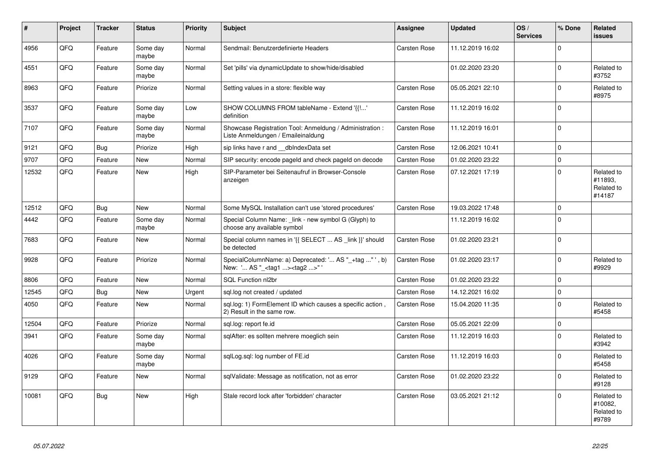| #     | Project    | <b>Tracker</b> | <b>Status</b>     | <b>Priority</b> | <b>Subject</b>                                                                                     | <b>Assignee</b>     | <b>Updated</b>   | OS/<br><b>Services</b> | % Done       | Related<br><b>issues</b>                      |
|-------|------------|----------------|-------------------|-----------------|----------------------------------------------------------------------------------------------------|---------------------|------------------|------------------------|--------------|-----------------------------------------------|
| 4956  | QFQ        | Feature        | Some day<br>maybe | Normal          | Sendmail: Benutzerdefinierte Headers                                                               | <b>Carsten Rose</b> | 11.12.2019 16:02 |                        | 0            |                                               |
| 4551  | QFQ        | Feature        | Some day<br>maybe | Normal          | Set 'pills' via dynamicUpdate to show/hide/disabled                                                |                     | 01.02.2020 23:20 |                        | 0            | Related to<br>#3752                           |
| 8963  | QFQ        | Feature        | Priorize          | Normal          | Setting values in a store: flexible way                                                            | Carsten Rose        | 05.05.2021 22:10 |                        | <sup>0</sup> | Related to<br>#8975                           |
| 3537  | QFQ        | Feature        | Some day<br>maybe | Low             | SHOW COLUMNS FROM tableName - Extend '{{!'<br>definition                                           | <b>Carsten Rose</b> | 11.12.2019 16:02 |                        | 0            |                                               |
| 7107  | QFQ        | Feature        | Some day<br>maybe | Normal          | Showcase Registration Tool: Anmeldung / Administration :<br>Liste Anmeldungen / Emaileinaldung     | Carsten Rose        | 11.12.2019 16:01 |                        | $\Omega$     |                                               |
| 9121  | QFQ        | <b>Bug</b>     | Priorize          | High            | sip links have r and __dbIndexData set                                                             | <b>Carsten Rose</b> | 12.06.2021 10:41 |                        | $\Omega$     |                                               |
| 9707  | QFQ        | Feature        | <b>New</b>        | Normal          | SIP security: encode pageld and check pageld on decode                                             | Carsten Rose        | 01.02.2020 23:22 |                        | $\Omega$     |                                               |
| 12532 | QFQ        | Feature        | <b>New</b>        | High            | SIP-Parameter bei Seitenaufruf in Browser-Console<br>anzeigen                                      | Carsten Rose        | 07.12.2021 17:19 |                        | $\Omega$     | Related to<br>#11893.<br>Related to<br>#14187 |
| 12512 | QFQ        | <b>Bug</b>     | <b>New</b>        | Normal          | Some MySQL Installation can't use 'stored procedures'                                              | Carsten Rose        | 19.03.2022 17:48 |                        | $\Omega$     |                                               |
| 4442  | QFQ        | Feature        | Some day<br>maybe | Normal          | Special Column Name: link - new symbol G (Glyph) to<br>choose any available symbol                 |                     | 11.12.2019 16:02 |                        | 0            |                                               |
| 7683  | QFQ        | Feature        | <b>New</b>        | Normal          | Special column names in '{{ SELECT  AS _link }}' should<br>be detected                             | Carsten Rose        | 01.02.2020 23:21 |                        | $\Omega$     |                                               |
| 9928  | <b>OFO</b> | Feature        | Priorize          | Normal          | SpecialColumnName: a) Deprecated: ' AS "_+tag " ', b)<br>New: ' AS "_ <tag1><tag2>"'</tag2></tag1> | Carsten Rose        | 01.02.2020 23:17 |                        | $\Omega$     | Related to<br>#9929                           |
| 8806  | QFQ        | Feature        | <b>New</b>        | Normal          | SQL Function nl2br                                                                                 | <b>Carsten Rose</b> | 01.02.2020 23:22 |                        | $\Omega$     |                                               |
| 12545 | QFQ        | <b>Bug</b>     | <b>New</b>        | Urgent          | sql.log not created / updated                                                                      | Carsten Rose        | 14.12.2021 16:02 |                        | $\Omega$     |                                               |
| 4050  | QFQ        | Feature        | <b>New</b>        | Normal          | sql.log: 1) FormElement ID which causes a specific action,<br>2) Result in the same row.           | Carsten Rose        | 15.04.2020 11:35 |                        | 0            | Related to<br>#5458                           |
| 12504 | QFQ        | Feature        | Priorize          | Normal          | sql.log: report fe.id                                                                              | <b>Carsten Rose</b> | 05.05.2021 22:09 |                        | 0            |                                               |
| 3941  | QFQ        | Feature        | Some day<br>maybe | Normal          | sglAfter: es sollten mehrere moeglich sein                                                         | Carsten Rose        | 11.12.2019 16:03 |                        | $\Omega$     | Related to<br>#3942                           |
| 4026  | QFQ        | Feature        | Some day<br>maybe | Normal          | sqlLog.sql: log number of FE.id                                                                    | Carsten Rose        | 11.12.2019 16:03 |                        | $\Omega$     | Related to<br>#5458                           |
| 9129  | QFQ        | Feature        | New               | Normal          | sqlValidate: Message as notification, not as error                                                 | Carsten Rose        | 01.02.2020 23:22 |                        | $\Omega$     | Related to<br>#9128                           |
| 10081 | QFQ        | Bug            | New               | High            | Stale record lock after 'forbidden' character                                                      | Carsten Rose        | 03.05.2021 21:12 |                        | $\Omega$     | Related to<br>#10082,<br>Related to<br>#9789  |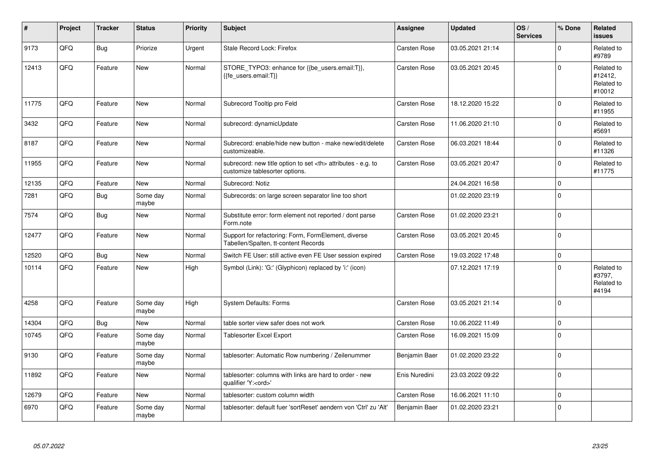| #     | Project | <b>Tracker</b> | <b>Status</b>     | <b>Priority</b> | <b>Subject</b>                                                                                       | Assignee                                               | <b>Updated</b>      | OS/<br><b>Services</b> | % Done         | Related<br><b>issues</b>                      |                      |
|-------|---------|----------------|-------------------|-----------------|------------------------------------------------------------------------------------------------------|--------------------------------------------------------|---------------------|------------------------|----------------|-----------------------------------------------|----------------------|
| 9173  | QFQ     | Bug            | Priorize          | Urgent          | Stale Record Lock: Firefox                                                                           | <b>Carsten Rose</b>                                    | 03.05.2021 21:14    |                        | $\Omega$       | Related to<br>#9789                           |                      |
| 12413 | QFQ     | Feature        | <b>New</b>        | Normal          | STORE_TYPO3: enhance for {{be_users.email:T}},<br>{{fe users.email:T}}                               | <b>Carsten Rose</b>                                    | 03.05.2021 20:45    |                        | $\Omega$       | Related to<br>#12412,<br>Related to<br>#10012 |                      |
| 11775 | QFQ     | Feature        | <b>New</b>        | Normal          | Subrecord Tooltip pro Feld                                                                           | <b>Carsten Rose</b>                                    | 18.12.2020 15:22    |                        | $\Omega$       | Related to<br>#11955                          |                      |
| 3432  | QFQ     | Feature        | <b>New</b>        | Normal          | subrecord: dynamicUpdate                                                                             | Carsten Rose                                           | 11.06.2020 21:10    |                        | $\mathbf{0}$   | Related to<br>#5691                           |                      |
| 8187  | QFQ     | Feature        | <b>New</b>        | Normal          | Subrecord: enable/hide new button - make new/edit/delete<br>customizeable.                           | Carsten Rose                                           | 06.03.2021 18:44    |                        | $\Omega$       | Related to<br>#11326                          |                      |
| 11955 | QFQ     | Feature        | New               | Normal          | subrecord: new title option to set <th> attributes - e.g. to<br/>customize tablesorter options.</th> | attributes - e.g. to<br>customize tablesorter options. | <b>Carsten Rose</b> | 03.05.2021 20:47       |                | $\Omega$                                      | Related to<br>#11775 |
| 12135 | QFQ     | Feature        | <b>New</b>        | Normal          | Subrecord: Notiz                                                                                     |                                                        | 24.04.2021 16:58    |                        | $\mathbf{0}$   |                                               |                      |
| 7281  | QFQ     | Bug            | Some day<br>maybe | Normal          | Subrecords: on large screen separator line too short                                                 |                                                        | 01.02.2020 23:19    |                        | $\Omega$       |                                               |                      |
| 7574  | QFQ     | Bug            | <b>New</b>        | Normal          | Substitute error: form element not reported / dont parse<br>Form.note                                | <b>Carsten Rose</b>                                    | 01.02.2020 23:21    |                        | $\Omega$       |                                               |                      |
| 12477 | QFQ     | Feature        | <b>New</b>        | Normal          | Support for refactoring: Form, FormElement, diverse<br>Tabellen/Spalten, tt-content Records          | <b>Carsten Rose</b>                                    | 03.05.2021 20:45    |                        | $\overline{0}$ |                                               |                      |
| 12520 | QFQ     | Bug            | <b>New</b>        | Normal          | Switch FE User: still active even FE User session expired                                            | <b>Carsten Rose</b>                                    | 19.03.2022 17:48    |                        | $\Omega$       |                                               |                      |
| 10114 | QFQ     | Feature        | <b>New</b>        | High            | Symbol (Link): 'G:' (Glyphicon) replaced by 'i:' (icon)                                              |                                                        | 07.12.2021 17:19    |                        | $\Omega$       | Related to<br>#3797,<br>Related to<br>#4194   |                      |
| 4258  | QFQ     | Feature        | Some day<br>maybe | High            | <b>System Defaults: Forms</b>                                                                        | <b>Carsten Rose</b>                                    | 03.05.2021 21:14    |                        | $\overline{0}$ |                                               |                      |
| 14304 | QFQ     | Bug            | New               | Normal          | table sorter view safer does not work                                                                | Carsten Rose                                           | 10.06.2022 11:49    |                        | $\mathbf{0}$   |                                               |                      |
| 10745 | QFQ     | Feature        | Some day<br>maybe | Normal          | Tablesorter Excel Export                                                                             | <b>Carsten Rose</b>                                    | 16.09.2021 15:09    |                        | $\Omega$       |                                               |                      |
| 9130  | QFQ     | Feature        | Some day<br>maybe | Normal          | tablesorter: Automatic Row numbering / Zeilenummer                                                   | Benjamin Baer                                          | 01.02.2020 23:22    |                        | $\Omega$       |                                               |                      |
| 11892 | QFQ     | Feature        | <b>New</b>        | Normal          | tablesorter: columns with links are hard to order - new<br>qualifier 'Y: <ord>'</ord>                | Enis Nuredini                                          | 23.03.2022 09:22    |                        | $\Omega$       |                                               |                      |
| 12679 | QFQ     | Feature        | <b>New</b>        | Normal          | tablesorter: custom column width                                                                     | Carsten Rose                                           | 16.06.2021 11:10    |                        | $\Omega$       |                                               |                      |
| 6970  | QFQ     | Feature        | Some day<br>maybe | Normal          | tablesorter: default fuer 'sortReset' aendern von 'Ctrl' zu 'Alt'                                    | Benjamin Baer                                          | 01.02.2020 23:21    |                        | $\mathbf{0}$   |                                               |                      |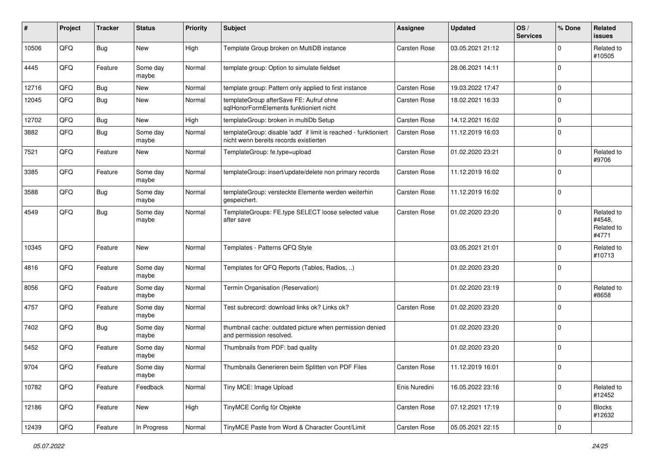| ∦     | Project | <b>Tracker</b> | <b>Status</b>     | <b>Priority</b> | <b>Subject</b>                                                                                            | <b>Assignee</b>     | <b>Updated</b>   | OS/<br><b>Services</b> | % Done       | Related<br><b>issues</b>                    |
|-------|---------|----------------|-------------------|-----------------|-----------------------------------------------------------------------------------------------------------|---------------------|------------------|------------------------|--------------|---------------------------------------------|
| 10506 | QFQ     | <b>Bug</b>     | New               | High            | Template Group broken on MultiDB instance                                                                 | Carsten Rose        | 03.05.2021 21:12 |                        | <sup>0</sup> | Related to<br>#10505                        |
| 4445  | QFQ     | Feature        | Some day<br>maybe | Normal          | template group: Option to simulate fieldset                                                               |                     | 28.06.2021 14:11 |                        | 0            |                                             |
| 12716 | QFQ     | <b>Bug</b>     | <b>New</b>        | Normal          | template group: Pattern only applied to first instance                                                    | <b>Carsten Rose</b> | 19.03.2022 17:47 |                        | 0            |                                             |
| 12045 | QFQ     | Bug            | <b>New</b>        | Normal          | templateGroup afterSave FE: Aufruf ohne<br>salHonorFormElements funktioniert nicht                        | <b>Carsten Rose</b> | 18.02.2021 16:33 |                        | $\Omega$     |                                             |
| 12702 | QFQ     | <b>Bug</b>     | New               | High            | templateGroup: broken in multiDb Setup                                                                    | <b>Carsten Rose</b> | 14.12.2021 16:02 |                        | $\Omega$     |                                             |
| 3882  | QFQ     | Bug            | Some day<br>maybe | Normal          | templateGroup: disable 'add' if limit is reached - funktioniert<br>nicht wenn bereits records existierten | <b>Carsten Rose</b> | 11.12.2019 16:03 |                        | 0            |                                             |
| 7521  | QFQ     | Feature        | New               | Normal          | TemplateGroup: fe.type=upload                                                                             | <b>Carsten Rose</b> | 01.02.2020 23:21 |                        | 0            | Related to<br>#9706                         |
| 3385  | QFQ     | Feature        | Some day<br>maybe | Normal          | templateGroup: insert/update/delete non primary records                                                   | <b>Carsten Rose</b> | 11.12.2019 16:02 |                        | 0            |                                             |
| 3588  | QFQ     | <b>Bug</b>     | Some day<br>maybe | Normal          | templateGroup: versteckte Elemente werden weiterhin<br>gespeichert.                                       | <b>Carsten Rose</b> | 11.12.2019 16:02 |                        | $\Omega$     |                                             |
| 4549  | QFQ     | Bug            | Some day<br>maybe | Normal          | TemplateGroups: FE.type SELECT loose selected value<br>after save                                         | <b>Carsten Rose</b> | 01.02.2020 23:20 |                        | 0            | Related to<br>#4548,<br>Related to<br>#4771 |
| 10345 | QFQ     | Feature        | New               | Normal          | Templates - Patterns QFQ Style                                                                            |                     | 03.05.2021 21:01 |                        | $\Omega$     | Related to<br>#10713                        |
| 4816  | QFQ     | Feature        | Some day<br>maybe | Normal          | Templates for QFQ Reports (Tables, Radios, )                                                              |                     | 01.02.2020 23:20 |                        | 0            |                                             |
| 8056  | QFQ     | Feature        | Some day<br>maybe | Normal          | Termin Organisation (Reservation)                                                                         |                     | 01.02.2020 23:19 |                        | $\Omega$     | Related to<br>#8658                         |
| 4757  | QFQ     | Feature        | Some day<br>maybe | Normal          | Test subrecord: download links ok? Links ok?                                                              | <b>Carsten Rose</b> | 01.02.2020 23:20 |                        | 0            |                                             |
| 7402  | QFQ     | <b>Bug</b>     | Some day<br>maybe | Normal          | thumbnail cache: outdated picture when permission denied<br>and permission resolved.                      |                     | 01.02.2020 23:20 |                        | $\mathbf 0$  |                                             |
| 5452  | QFQ     | Feature        | Some day<br>maybe | Normal          | Thumbnails from PDF: bad quality                                                                          |                     | 01.02.2020 23:20 |                        | 0            |                                             |
| 9704  | QFQ     | Feature        | Some day<br>maybe | Normal          | Thumbnails Generieren beim Splitten von PDF Files                                                         | <b>Carsten Rose</b> | 11.12.2019 16:01 |                        | $\Omega$     |                                             |
| 10782 | QFG     | Feature        | Feedback          | Normal          | Tiny MCE: Image Upload                                                                                    | Enis Nuredini       | 16.05.2022 23:16 |                        | $\mathbf 0$  | Related to<br>#12452                        |
| 12186 | QFO     | Feature        | New               | High            | TinyMCE Config für Objekte                                                                                | Carsten Rose        | 07.12.2021 17:19 |                        | 0            | <b>Blocks</b><br>#12632                     |
| 12439 | QFQ     | Feature        | In Progress       | Normal          | TinyMCE Paste from Word & Character Count/Limit                                                           | Carsten Rose        | 05.05.2021 22:15 |                        | 0            |                                             |